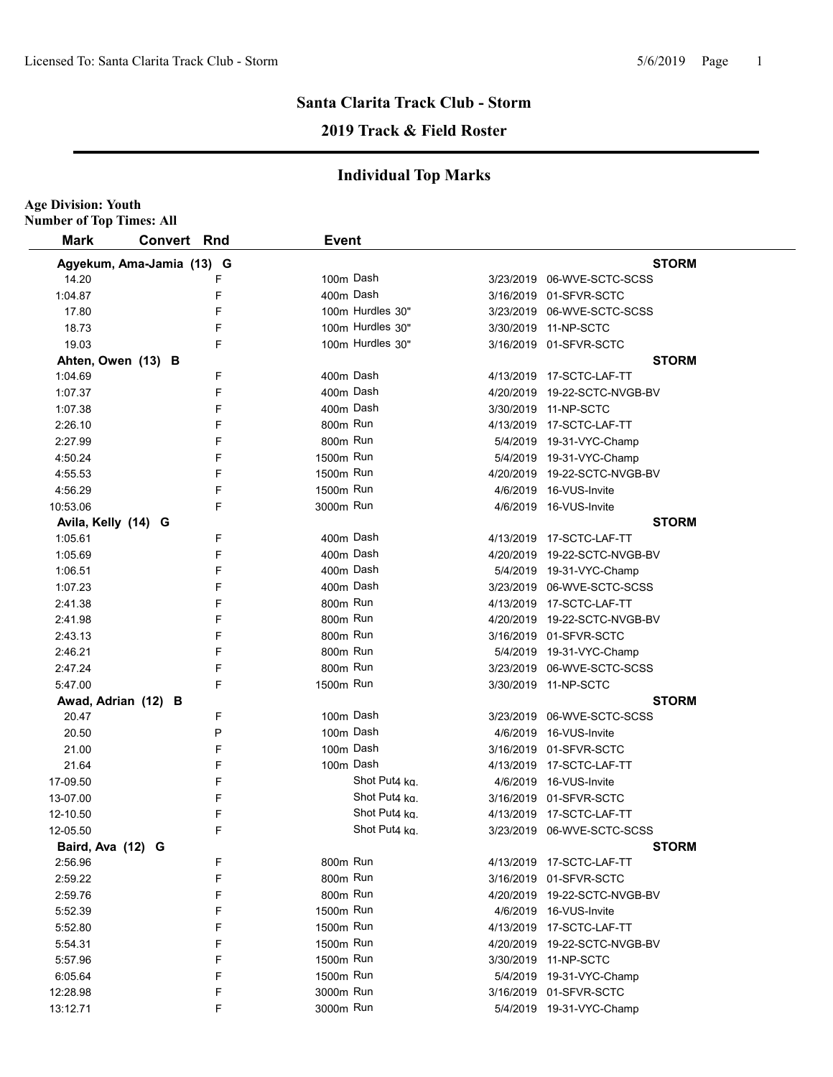**Age Division: Youth**

## **Santa Clarita Track Club - Storm**

## **2019 Track & Field Roster**

| <b>Number of Top Times: All</b> |                           |   |                       |                  |                               |
|---------------------------------|---------------------------|---|-----------------------|------------------|-------------------------------|
| <b>Mark</b>                     | Convert Rnd               |   | <b>Event</b>          |                  |                               |
|                                 | Agyekum, Ama-Jamia (13) G |   |                       |                  | <b>STORM</b>                  |
| 14.20                           |                           | F |                       | 100m Dash        | 3/23/2019 06-WVE-SCTC-SCSS    |
| 1:04.87                         |                           | F |                       | 400m Dash        | 3/16/2019 01-SFVR-SCTC        |
| 17.80                           |                           | F |                       | 100m Hurdles 30" | 3/23/2019 06-WVE-SCTC-SCSS    |
| 18.73                           |                           | F |                       | 100m Hurdles 30" | 3/30/2019 11-NP-SCTC          |
| 19.03                           |                           | F |                       | 100m Hurdles 30" | 3/16/2019 01-SFVR-SCTC        |
|                                 | Ahten, Owen (13) B        |   |                       |                  | <b>STORM</b>                  |
| 1:04.69                         |                           | F |                       | 400m Dash        | 4/13/2019 17-SCTC-LAF-TT      |
| 1:07.37                         |                           | F |                       | 400m Dash        | 4/20/2019 19-22-SCTC-NVGB-BV  |
| 1:07.38                         |                           | F |                       | 400m Dash        | 3/30/2019 11-NP-SCTC          |
| 2:26.10                         |                           | F | 800m Run              |                  | 4/13/2019 17-SCTC-LAF-TT      |
| 2:27.99                         |                           | F | 800m Run              |                  | 5/4/2019 19-31-VYC-Champ      |
| 4:50.24                         |                           | F | 1500m Run             |                  | 5/4/2019 19-31-VYC-Champ      |
| 4:55.53                         |                           | F | 1500m Run             |                  | 4/20/2019  19-22-SCTC-NVGB-BV |
| 4:56.29                         |                           | F | 1500m Run             |                  | 4/6/2019 16-VUS-Invite        |
| 10:53.06                        |                           | F | 3000 <sub>m</sub> Run |                  | 4/6/2019 16-VUS-Invite        |
| Avila, Kelly (14) G             |                           |   |                       |                  | <b>STORM</b>                  |
| 1:05.61                         |                           | F |                       | 400m Dash        | 4/13/2019  17-SCTC-LAF-TT     |
| 1:05.69                         |                           | F |                       | 400m Dash        | 4/20/2019 19-22-SCTC-NVGB-BV  |
| 1:06.51                         |                           | F |                       | 400m Dash        | 5/4/2019 19-31-VYC-Champ      |
| 1:07.23                         |                           | F |                       | 400m Dash        | 3/23/2019 06-WVE-SCTC-SCSS    |
| 2:41.38                         |                           | F | 800m Run              |                  | 4/13/2019 17-SCTC-LAF-TT      |
| 2:41.98                         |                           | F | 800m Run              |                  | 4/20/2019 19-22-SCTC-NVGB-BV  |
| 2:43.13                         |                           | F | 800m Run              |                  | 3/16/2019 01-SFVR-SCTC        |
| 2:46.21                         |                           | F | 800m Run              |                  | 5/4/2019 19-31-VYC-Champ      |
| 2:47.24                         |                           | F | 800m Run              |                  | 3/23/2019 06-WVE-SCTC-SCSS    |
| 5:47.00                         |                           | F | 1500m Run             |                  | 3/30/2019 11-NP-SCTC          |
|                                 | Awad, Adrian (12) B       |   |                       |                  | <b>STORM</b>                  |
| 20.47                           |                           | F |                       | 100m Dash        | 3/23/2019 06-WVE-SCTC-SCSS    |
| 20.50                           |                           | P |                       | 100m Dash        | 4/6/2019 16-VUS-Invite        |
| 21.00                           |                           | F |                       | 100m Dash        | 3/16/2019 01-SFVR-SCTC        |
| 21.64                           |                           | F |                       | 100m Dash        | 4/13/2019 17-SCTC-LAF-TT      |
| 17-09.50                        |                           | F |                       | Shot Put4 ka.    | 4/6/2019 16-VUS-Invite        |
| 13-07.00                        |                           | F |                       | Shot Put4 ka.    | 3/16/2019 01-SFVR-SCTC        |
| 12-10.50                        |                           | F |                       | Shot Put4 ka.    | 4/13/2019 17-SCTC-LAF-TT      |
| 12-05.50                        |                           | F |                       | Shot Put4 kg.    | 3/23/2019 06-WVE-SCTC-SCSS    |
| Baird, Ava (12) G               |                           |   |                       |                  | <b>STORM</b>                  |
| 2:56.96                         |                           | F | 800m Run              |                  | 4/13/2019 17-SCTC-LAF-TT      |
| 2:59.22                         |                           | F | 800m Run              |                  | 3/16/2019 01-SFVR-SCTC        |
| 2:59.76                         |                           | F | 800m Run              |                  | 4/20/2019 19-22-SCTC-NVGB-BV  |
| 5:52.39                         |                           | F | 1500m Run             |                  | 4/6/2019 16-VUS-Invite        |
| 5:52.80                         |                           | F | 1500m Run             |                  | 4/13/2019 17-SCTC-LAF-TT      |
| 5:54.31                         |                           | F | 1500m Run             |                  | 4/20/2019 19-22-SCTC-NVGB-BV  |
| 5:57.96                         |                           | F | 1500m Run             |                  | 3/30/2019 11-NP-SCTC          |
| 6:05.64                         |                           | F | 1500m Run             |                  | 5/4/2019 19-31-VYC-Champ      |
| 12:28.98                        |                           | F | 3000m Run             |                  | 3/16/2019 01-SFVR-SCTC        |
| 13:12.71                        |                           | F | 3000m Run             |                  | 5/4/2019 19-31-VYC-Champ      |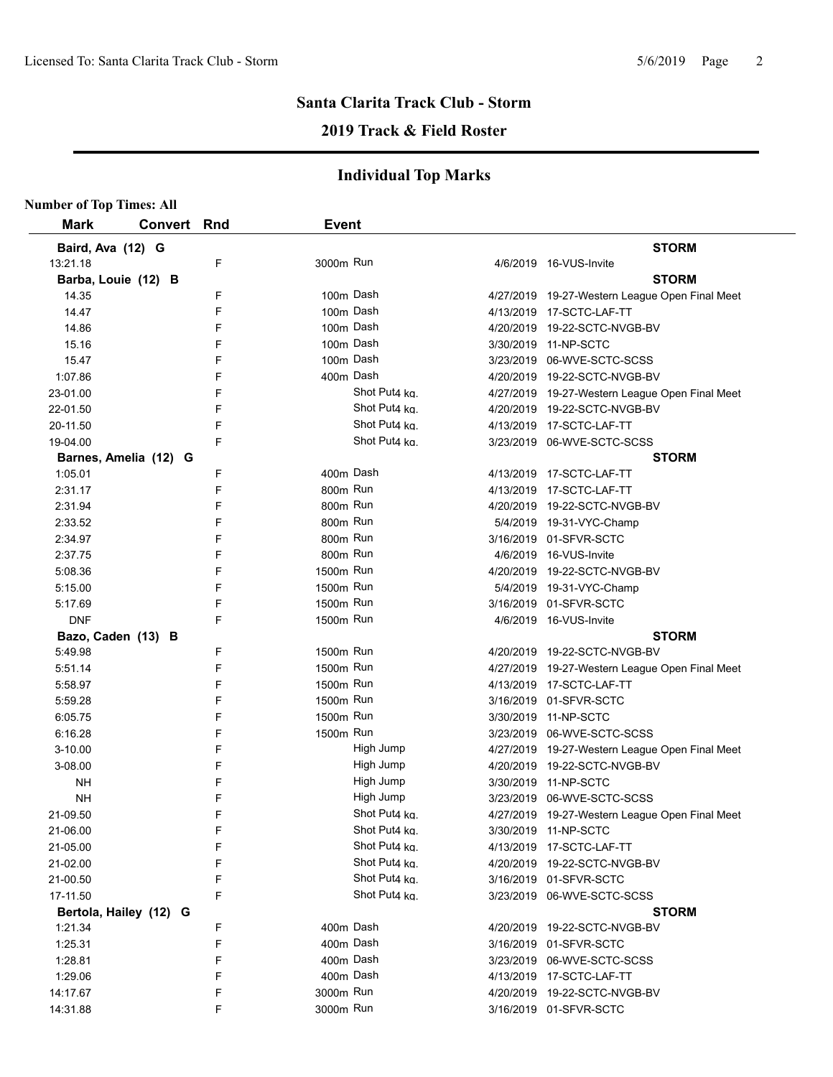## **2019 Track & Field Roster**

| <b>Number of Top Times: All</b> |                        |   |              |               |                                                |
|---------------------------------|------------------------|---|--------------|---------------|------------------------------------------------|
| <b>Mark</b>                     | <b>Convert Rnd</b>     |   | <b>Event</b> |               |                                                |
| Baird, Ava (12) G               |                        |   |              |               | <b>STORM</b>                                   |
| 13:21.18                        |                        | F | 3000m Run    |               | 4/6/2019 16-VUS-Invite                         |
| Barba, Louie (12) B             |                        |   |              |               | <b>STORM</b>                                   |
| 14.35                           |                        | F | 100m Dash    |               | 4/27/2019 19-27-Western League Open Final Meet |
| 14.47                           |                        | F | 100m Dash    |               | 4/13/2019 17-SCTC-LAF-TT                       |
| 14.86                           |                        | F | 100m Dash    |               | 4/20/2019 19-22-SCTC-NVGB-BV                   |
| 15.16                           |                        | F | 100m Dash    |               | 3/30/2019 11-NP-SCTC                           |
| 15.47                           |                        | F | 100m Dash    |               | 3/23/2019 06-WVE-SCTC-SCSS                     |
| 1:07.86                         |                        | F | 400m Dash    |               | 4/20/2019 19-22-SCTC-NVGB-BV                   |
| 23-01.00                        |                        | F |              | Shot Put4 kg. | 4/27/2019 19-27-Western League Open Final Meet |
| 22-01.50                        |                        | F |              | Shot Put4 kg. | 4/20/2019 19-22-SCTC-NVGB-BV                   |
| 20-11.50                        |                        | F |              | Shot Put4 ka. | 4/13/2019 17-SCTC-LAF-TT                       |
| 19-04.00                        |                        | F |              | Shot Put4 kg. | 3/23/2019 06-WVE-SCTC-SCSS                     |
|                                 | Barnes, Amelia (12) G  |   |              |               | <b>STORM</b>                                   |
| 1:05.01                         |                        | F | 400m Dash    |               | 4/13/2019 17-SCTC-LAF-TT                       |
| 2:31.17                         |                        | F | 800m Run     |               | 4/13/2019 17-SCTC-LAF-TT                       |
| 2:31.94                         |                        | F | 800m Run     |               | 4/20/2019 19-22-SCTC-NVGB-BV                   |
| 2:33.52                         |                        | F | 800m Run     |               | 5/4/2019 19-31-VYC-Champ                       |
| 2:34.97                         |                        | F | 800m Run     |               | 3/16/2019 01-SFVR-SCTC                         |
| 2:37.75                         |                        | F | 800m Run     |               | 4/6/2019 16-VUS-Invite                         |
| 5:08.36                         |                        | F | 1500m Run    |               | 4/20/2019 19-22-SCTC-NVGB-BV                   |
| 5:15.00                         |                        | F | 1500m Run    |               | 5/4/2019 19-31-VYC-Champ                       |
| 5:17.69                         |                        | F | 1500m Run    |               | 3/16/2019 01-SFVR-SCTC                         |
| <b>DNF</b>                      |                        | F | 1500m Run    |               | 4/6/2019 16-VUS-Invite                         |
| Bazo, Caden (13) B              |                        |   |              |               | <b>STORM</b>                                   |
| 5.49.98                         |                        | F | 1500m Run    |               | 4/20/2019 19-22-SCTC-NVGB-BV                   |
| 5:51.14                         |                        | F | 1500m Run    |               | 4/27/2019 19-27-Western League Open Final Meet |
| 5:58.97                         |                        | F | 1500m Run    |               | 4/13/2019 17-SCTC-LAF-TT                       |
| 5:59.28                         |                        | F | 1500m Run    |               | 3/16/2019 01-SFVR-SCTC                         |
| 6:05.75                         |                        | F | 1500m Run    |               | 3/30/2019 11-NP-SCTC                           |
| 6:16.28                         |                        | F | 1500m Run    |               | 3/23/2019 06-WVE-SCTC-SCSS                     |
| $3 - 10.00$                     |                        | F |              | High Jump     | 4/27/2019 19-27-Western League Open Final Meet |
| 3-08.00                         |                        | F |              | High Jump     | 4/20/2019 19-22-SCTC-NVGB-BV                   |
| <b>NH</b>                       |                        | F |              | High Jump     | 3/30/2019 11-NP-SCTC                           |
| NΗ                              |                        | F |              | High Jump     | 3/23/2019 06-WVE-SCTC-SCSS                     |
| 21-09.50                        |                        | F |              | Shot Put4 kg. | 4/27/2019 19-27-Western League Open Final Meet |
| 21-06.00                        |                        | F |              | Shot Put4 kg. | 3/30/2019 11-NP-SCTC                           |
| 21-05.00                        |                        | F |              | Shot Put4 kg. | 4/13/2019 17-SCTC-LAF-TT                       |
| 21-02.00                        |                        | F |              | Shot Put4 ka. | 4/20/2019 19-22-SCTC-NVGB-BV                   |
| 21-00.50                        |                        | F |              | Shot Put4 ka. | 3/16/2019 01-SFVR-SCTC                         |
| 17-11.50                        |                        | F |              | Shot Put4 ka. | 3/23/2019 06-WVE-SCTC-SCSS                     |
|                                 | Bertola, Hailey (12) G |   |              |               | <b>STORM</b>                                   |
| 1:21.34                         |                        | F | 400m Dash    |               | 4/20/2019 19-22-SCTC-NVGB-BV                   |
| 1:25.31                         |                        | F |              | 400m Dash     | 3/16/2019 01-SFVR-SCTC                         |
| 1:28.81                         |                        | F | 400m Dash    |               | 3/23/2019 06-WVE-SCTC-SCSS                     |
| 1:29.06                         |                        | F | 400m Dash    |               | 4/13/2019 17-SCTC-LAF-TT                       |
| 14:17.67                        |                        | F | 3000m Run    |               | 4/20/2019 19-22-SCTC-NVGB-BV                   |
| 14:31.88                        |                        | F | 3000m Run    |               | 3/16/2019 01-SFVR-SCTC                         |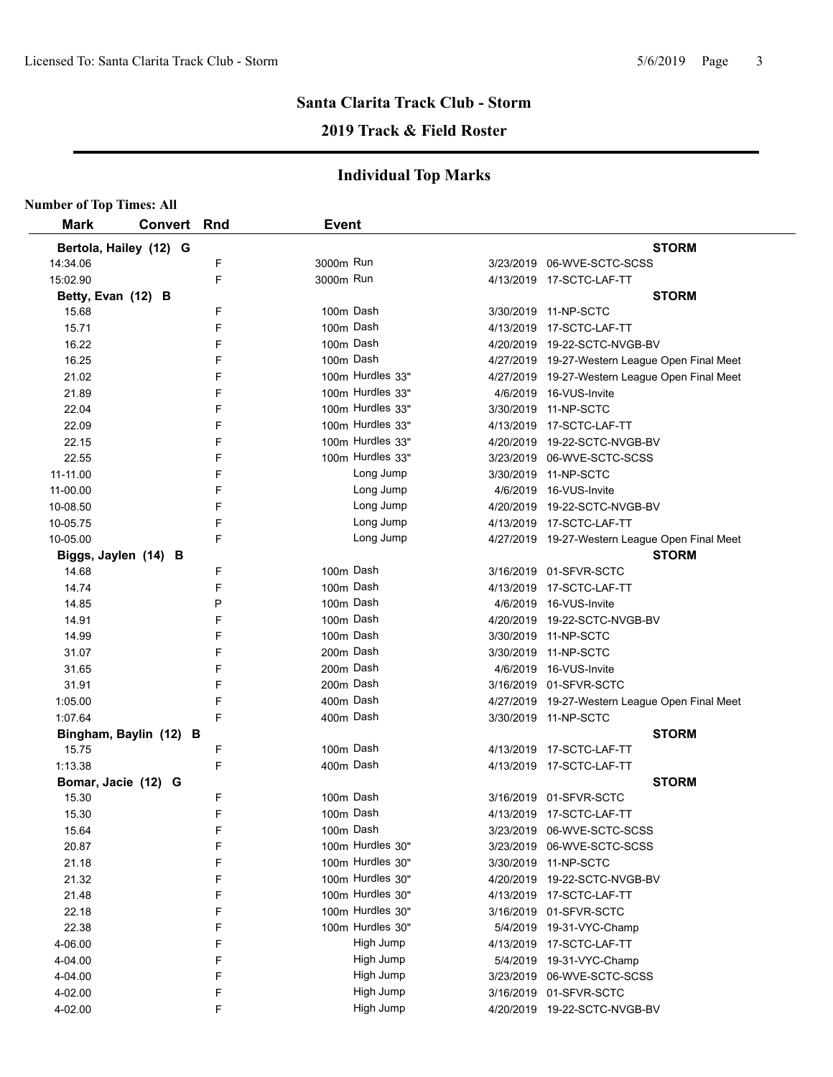## **2019 Track & Field Roster**

| <b>Number of Top Times: All</b> |                        |   |              |                  |                                                |
|---------------------------------|------------------------|---|--------------|------------------|------------------------------------------------|
| <b>Mark</b>                     | <b>Convert Rnd</b>     |   | <b>Event</b> |                  |                                                |
|                                 | Bertola, Hailey (12) G |   |              |                  | <b>STORM</b>                                   |
| 14:34.06                        |                        | F | 3000m Run    |                  | 3/23/2019 06-WVE-SCTC-SCSS                     |
| 15:02.90                        |                        | F | 3000m Run    |                  | 4/13/2019 17-SCTC-LAF-TT                       |
| Betty, Evan (12) B              |                        |   |              |                  | <b>STORM</b>                                   |
| 15.68                           |                        | F |              | 100m Dash        | 3/30/2019 11-NP-SCTC                           |
| 15.71                           |                        | F |              | 100m Dash        | 4/13/2019 17-SCTC-LAF-TT                       |
| 16.22                           |                        | F |              | 100m Dash        | 4/20/2019 19-22-SCTC-NVGB-BV                   |
| 16.25                           |                        | F |              | 100m Dash        | 4/27/2019 19-27-Western League Open Final Meet |
| 21.02                           |                        | F |              | 100m Hurdles 33" | 4/27/2019 19-27-Western League Open Final Meet |
| 21.89                           |                        | F |              | 100m Hurdles 33" | 4/6/2019 16-VUS-Invite                         |
| 22.04                           |                        | F |              | 100m Hurdles 33" | 3/30/2019 11-NP-SCTC                           |
| 22.09                           |                        | F |              | 100m Hurdles 33" | 4/13/2019 17-SCTC-LAF-TT                       |
| 22.15                           |                        | F |              | 100m Hurdles 33" | 4/20/2019 19-22-SCTC-NVGB-BV                   |
| 22.55                           |                        | F |              | 100m Hurdles 33" | 3/23/2019 06-WVE-SCTC-SCSS                     |
| 11-11.00                        |                        | F |              | Long Jump        | 3/30/2019 11-NP-SCTC                           |
| 11-00.00                        |                        | F |              | Long Jump        | 4/6/2019 16-VUS-Invite                         |
| 10-08.50                        |                        | F |              | Long Jump        | 4/20/2019 19-22-SCTC-NVGB-BV                   |
| 10-05.75                        |                        | F |              | Long Jump        | 4/13/2019 17-SCTC-LAF-TT                       |
| 10-05.00                        |                        | F |              | Long Jump        | 4/27/2019 19-27-Western League Open Final Meet |
|                                 | Biggs, Jaylen (14) B   |   |              |                  | <b>STORM</b>                                   |
| 14.68                           |                        | F |              | 100m Dash        | 3/16/2019 01-SFVR-SCTC                         |
| 14.74                           |                        | F |              | 100m Dash        | 4/13/2019 17-SCTC-LAF-TT                       |
| 14.85                           |                        | P |              | 100m Dash        | 4/6/2019 16-VUS-Invite                         |
| 14.91                           |                        | F |              | 100m Dash        | 4/20/2019 19-22-SCTC-NVGB-BV                   |
| 14.99                           |                        | F |              | 100m Dash        | 3/30/2019 11-NP-SCTC                           |
| 31.07                           |                        | F |              | 200m Dash        | 3/30/2019 11-NP-SCTC                           |
| 31.65                           |                        | F |              | 200m Dash        | 4/6/2019 16-VUS-Invite                         |
| 31.91                           |                        | F |              | 200m Dash        | 3/16/2019 01-SFVR-SCTC                         |
| 1:05.00                         |                        | F |              | 400m Dash        | 4/27/2019 19-27-Western League Open Final Meet |
| 1:07.64                         |                        | F |              | 400m Dash        | 3/30/2019 11-NP-SCTC                           |
|                                 | Bingham, Baylin (12) B |   |              |                  | <b>STORM</b>                                   |
| 15.75                           |                        | F |              | 100m Dash        | 4/13/2019 17-SCTC-LAF-TT                       |
| 1:13.38                         |                        | F |              | 400m Dash        | 4/13/2019 17-SCTC-LAF-TT                       |
| Bomar, Jacie (12) G             |                        |   |              |                  | <b>STORM</b>                                   |
| 15.30                           |                        | F |              | 100m Dash        | 3/16/2019 01-SFVR-SCTC                         |
| 15.30                           |                        | F |              | 100m Dash        | 4/13/2019 17-SCTC-LAF-TT                       |
| 15.64                           |                        | F |              | 100m Dash        | 3/23/2019 06-WVE-SCTC-SCSS                     |
| 20.87                           |                        | F |              | 100m Hurdles 30" | 3/23/2019 06-WVE-SCTC-SCSS                     |
| 21.18                           |                        | F |              | 100m Hurdles 30" | 3/30/2019 11-NP-SCTC                           |
| 21.32                           |                        | F |              | 100m Hurdles 30" | 4/20/2019 19-22-SCTC-NVGB-BV                   |
| 21.48                           |                        | F |              | 100m Hurdles 30" | 4/13/2019 17-SCTC-LAF-TT                       |
| 22.18                           |                        | F |              | 100m Hurdles 30" | 3/16/2019 01-SFVR-SCTC                         |
| 22.38                           |                        | F |              | 100m Hurdles 30" | 5/4/2019 19-31-VYC-Champ                       |
| 4-06.00                         |                        | F |              | High Jump        | 4/13/2019 17-SCTC-LAF-TT                       |
| 4-04.00                         |                        | F |              | High Jump        | 5/4/2019 19-31-VYC-Champ                       |
| 4-04.00                         |                        | F |              | High Jump        | 3/23/2019 06-WVE-SCTC-SCSS                     |
| 4-02.00                         |                        | F |              | High Jump        | 3/16/2019 01-SFVR-SCTC                         |
| 4-02.00                         |                        | F |              | High Jump        | 4/20/2019 19-22-SCTC-NVGB-BV                   |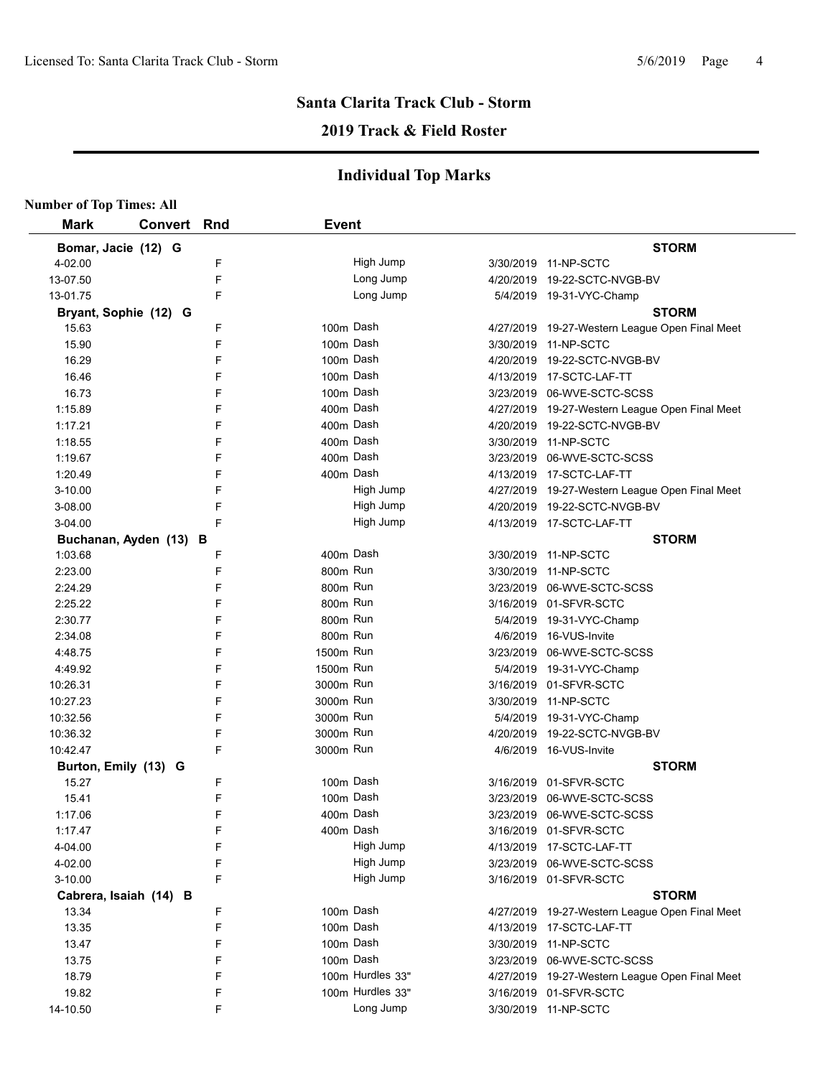## **2019 Track & Field Roster**

| <b>Number of Top Times: All</b> |                        |   |              |                  |                                                |
|---------------------------------|------------------------|---|--------------|------------------|------------------------------------------------|
| <b>Mark</b>                     | <b>Convert Rnd</b>     |   | <b>Event</b> |                  |                                                |
| Bomar, Jacie (12) G             |                        |   |              |                  | <b>STORM</b>                                   |
| 4-02.00                         |                        | F |              | High Jump        | 3/30/2019 11-NP-SCTC                           |
| 13-07.50                        |                        | F |              | Long Jump        | 4/20/2019 19-22-SCTC-NVGB-BV                   |
| 13-01.75                        |                        | F |              | Long Jump        | 5/4/2019 19-31-VYC-Champ                       |
|                                 | Bryant, Sophie (12) G  |   |              |                  | <b>STORM</b>                                   |
| 15.63                           |                        | F |              | 100m Dash        | 4/27/2019 19-27-Western League Open Final Meet |
| 15.90                           |                        | F |              | 100m Dash        | 3/30/2019 11-NP-SCTC                           |
| 16.29                           |                        | F |              | 100m Dash        | 4/20/2019 19-22-SCTC-NVGB-BV                   |
| 16.46                           |                        | F |              | 100m Dash        | 4/13/2019 17-SCTC-LAF-TT                       |
| 16.73                           |                        | F |              | 100m Dash        | 3/23/2019 06-WVE-SCTC-SCSS                     |
| 1:15.89                         |                        | F |              | 400m Dash        | 4/27/2019 19-27-Western League Open Final Meet |
| 1:17.21                         |                        | F |              | 400m Dash        | 4/20/2019 19-22-SCTC-NVGB-BV                   |
| 1:18.55                         |                        | F |              | 400m Dash        | 3/30/2019 11-NP-SCTC                           |
| 1:19.67                         |                        | F |              | 400m Dash        | 3/23/2019 06-WVE-SCTC-SCSS                     |
| 1:20.49                         |                        | F |              | 400m Dash        | 4/13/2019 17-SCTC-LAF-TT                       |
| 3-10.00                         |                        | F |              | High Jump        | 4/27/2019 19-27-Western League Open Final Meet |
| 3-08.00                         |                        | F |              | High Jump        | 4/20/2019 19-22-SCTC-NVGB-BV                   |
| 3-04.00                         |                        | F |              | High Jump        | 4/13/2019 17-SCTC-LAF-TT                       |
|                                 | Buchanan, Ayden (13) B |   |              |                  | <b>STORM</b>                                   |
| 1:03.68                         |                        | F |              | 400m Dash        | 3/30/2019 11-NP-SCTC                           |
| 2:23.00                         |                        | F | 800m Run     |                  | 3/30/2019 11-NP-SCTC                           |
| 2:24.29                         |                        | F | 800m Run     |                  | 3/23/2019 06-WVE-SCTC-SCSS                     |
| 2:25.22                         |                        | F | 800m Run     |                  | 3/16/2019 01-SFVR-SCTC                         |
| 2:30.77                         |                        | F | 800m Run     |                  | 5/4/2019 19-31-VYC-Champ                       |
| 2:34.08                         |                        | F | 800m Run     |                  | 4/6/2019 16-VUS-Invite                         |
| 4:48.75                         |                        | F | 1500m Run    |                  | 3/23/2019 06-WVE-SCTC-SCSS                     |
| 4:49.92                         |                        | F | 1500m Run    |                  | 5/4/2019 19-31-VYC-Champ                       |
| 10:26.31                        |                        | F | 3000m Run    |                  | 3/16/2019 01-SFVR-SCTC                         |
| 10:27.23                        |                        | F | 3000m Run    |                  | 3/30/2019 11-NP-SCTC                           |
| 10:32.56                        |                        | F | 3000m Run    |                  | 5/4/2019 19-31-VYC-Champ                       |
| 10:36.32                        |                        | F | 3000m Run    |                  | 4/20/2019 19-22-SCTC-NVGB-BV                   |
| 10:42.47                        |                        | F | 3000m Run    |                  | 4/6/2019 16-VUS-Invite                         |
|                                 | Burton, Emily (13) G   |   |              |                  | <b>STORM</b>                                   |
| 15.27                           |                        | F | 100m Dash    |                  | 3/16/2019 01-SFVR-SCTC                         |
| 15.41                           |                        | F |              | 100m Dash        | 3/23/2019 06-WVE-SCTC-SCSS                     |
| 1:17.06                         |                        | F |              | 400m Dash        | 3/23/2019 06-WVE-SCTC-SCSS                     |
| 1:17.47                         |                        | F |              | 400m Dash        | 3/16/2019 01-SFVR-SCTC                         |
| 4-04.00                         |                        | F |              | High Jump        | 4/13/2019 17-SCTC-LAF-TT                       |
| 4-02.00                         |                        | F |              | High Jump        | 3/23/2019 06-WVE-SCTC-SCSS                     |
| 3-10.00                         |                        | F |              | High Jump        | 3/16/2019 01-SFVR-SCTC                         |
|                                 | Cabrera, Isaiah (14) B |   |              |                  | <b>STORM</b>                                   |
| 13.34                           |                        | F |              | 100m Dash        | 4/27/2019 19-27-Western League Open Final Meet |
| 13.35                           |                        | F |              | 100m Dash        | 4/13/2019 17-SCTC-LAF-TT                       |
| 13.47                           |                        | F |              | 100m Dash        | 3/30/2019 11-NP-SCTC                           |
| 13.75                           |                        | F |              | 100m Dash        | 3/23/2019 06-WVE-SCTC-SCSS                     |
| 18.79                           |                        | F |              | 100m Hurdles 33" | 4/27/2019 19-27-Western League Open Final Meet |
| 19.82                           |                        | F |              | 100m Hurdles 33" | 3/16/2019 01-SFVR-SCTC                         |
| 14-10.50                        |                        | F |              | Long Jump        | 3/30/2019 11-NP-SCTC                           |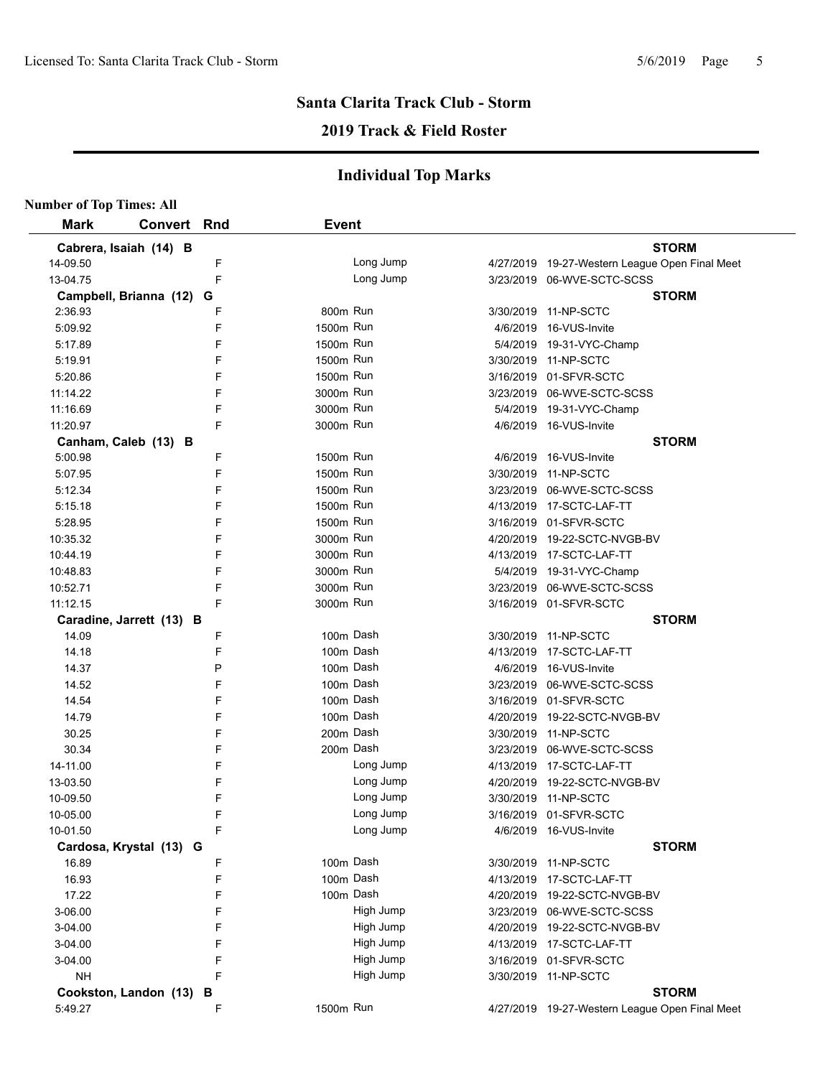## **2019 Track & Field Roster**

| <b>Number of Top Times: All</b> |                          |   |              |           |           |                                                |
|---------------------------------|--------------------------|---|--------------|-----------|-----------|------------------------------------------------|
| <b>Mark</b>                     | <b>Convert Rnd</b>       |   | <b>Event</b> |           |           |                                                |
|                                 | Cabrera, Isaiah (14) B   |   |              |           |           | <b>STORM</b>                                   |
| 14-09.50                        |                          | F |              | Long Jump |           | 4/27/2019 19-27-Western League Open Final Meet |
| 13-04.75                        |                          | F |              | Long Jump |           | 3/23/2019 06-WVE-SCTC-SCSS                     |
|                                 | Campbell, Brianna (12) G |   |              |           |           | <b>STORM</b>                                   |
| 2:36.93                         |                          | F | 800m Run     |           |           | 3/30/2019 11-NP-SCTC                           |
| 5:09.92                         |                          | F | 1500m Run    |           |           | 4/6/2019 16-VUS-Invite                         |
| 5:17.89                         |                          | F | 1500m Run    |           |           | 5/4/2019 19-31-VYC-Champ                       |
| 5:19.91                         |                          | F | 1500m Run    |           |           | 3/30/2019 11-NP-SCTC                           |
| 5:20.86                         |                          | F | 1500m Run    |           |           | 3/16/2019 01-SFVR-SCTC                         |
| 11:14.22                        |                          | F | 3000m Run    |           |           | 3/23/2019 06-WVE-SCTC-SCSS                     |
| 11:16.69                        |                          | F | 3000m Run    |           |           | 5/4/2019 19-31-VYC-Champ                       |
| 11:20.97                        |                          | F | 3000m Run    |           |           | 4/6/2019 16-VUS-Invite                         |
|                                 | Canham, Caleb (13) B     |   |              |           |           | <b>STORM</b>                                   |
| 5:00.98                         |                          | F | 1500m Run    |           | 4/6/2019  | 16-VUS-Invite                                  |
| 5:07.95                         |                          | F | 1500m Run    |           |           | 3/30/2019 11-NP-SCTC                           |
| 5:12.34                         |                          | F | 1500m Run    |           |           | 3/23/2019 06-WVE-SCTC-SCSS                     |
| 5:15.18                         |                          | F | 1500m Run    |           |           | 4/13/2019 17-SCTC-LAF-TT                       |
| 5:28.95                         |                          | F | 1500m Run    |           |           | 3/16/2019 01-SFVR-SCTC                         |
| 10:35.32                        |                          | F | 3000m Run    |           |           | 4/20/2019 19-22-SCTC-NVGB-BV                   |
| 10:44.19                        |                          | F | 3000m Run    |           |           | 4/13/2019 17-SCTC-LAF-TT                       |
| 10:48.83                        |                          | F | 3000m Run    |           |           | 5/4/2019 19-31-VYC-Champ                       |
| 10:52.71                        |                          | F | 3000m Run    |           |           | 3/23/2019 06-WVE-SCTC-SCSS                     |
| 11:12.15                        |                          | F | 3000m Run    |           |           | 3/16/2019 01-SFVR-SCTC                         |
|                                 | Caradine, Jarrett (13) B |   |              |           |           | <b>STORM</b>                                   |
| 14.09                           |                          | F | 100m Dash    |           |           | 3/30/2019 11-NP-SCTC                           |
| 14.18                           |                          | F | 100m Dash    |           |           | 4/13/2019 17-SCTC-LAF-TT                       |
| 14.37                           |                          | P | 100m Dash    |           |           | 4/6/2019 16-VUS-Invite                         |
| 14.52                           |                          | F | 100m Dash    |           |           | 3/23/2019 06-WVE-SCTC-SCSS                     |
| 14.54                           |                          | F | 100m Dash    |           |           | 3/16/2019 01-SFVR-SCTC                         |
| 14.79                           |                          | F | 100m Dash    |           |           | 4/20/2019 19-22-SCTC-NVGB-BV                   |
| 30.25                           |                          | F |              | 200m Dash |           | 3/30/2019 11-NP-SCTC                           |
| 30.34                           |                          | F | 200m Dash    |           |           | 3/23/2019 06-WVE-SCTC-SCSS                     |
| 14-11.00                        |                          | F |              | Long Jump |           | 4/13/2019 17-SCTC-LAF-TT                       |
| 13-03.50                        |                          | F |              | Long Jump |           | 4/20/2019 19-22-SCTC-NVGB-BV                   |
| 10-09.50                        |                          | F |              | Long Jump |           | 3/30/2019 11-NP-SCTC                           |
| 10-05.00                        |                          | F |              | Long Jump |           | 3/16/2019 01-SFVR-SCTC                         |
| 10-01.50                        |                          | F |              | Long Jump |           | 4/6/2019 16-VUS-Invite                         |
|                                 | Cardosa, Krystal (13) G  |   |              |           |           | <b>STORM</b>                                   |
| 16.89                           |                          | F | 100m Dash    |           |           | 3/30/2019 11-NP-SCTC                           |
| 16.93                           |                          | F |              | 100m Dash | 4/13/2019 | 17-SCTC-LAF-TT                                 |
| 17.22                           |                          | F |              | 100m Dash | 4/20/2019 | 19-22-SCTC-NVGB-BV                             |
| 3-06.00                         |                          | F |              | High Jump |           | 3/23/2019 06-WVE-SCTC-SCSS                     |
| 3-04.00                         |                          | F |              | High Jump |           | 4/20/2019 19-22-SCTC-NVGB-BV                   |
| 3-04.00                         |                          | F |              | High Jump |           | 4/13/2019 17-SCTC-LAF-TT                       |
| 3-04.00                         |                          | F |              | High Jump |           | 3/16/2019 01-SFVR-SCTC                         |
| <b>NH</b>                       |                          | F |              | High Jump |           | 3/30/2019 11-NP-SCTC                           |
|                                 | Cookston, Landon (13) B  |   |              |           |           | <b>STORM</b>                                   |
| 5:49.27                         |                          | F | 1500m Run    |           |           | 4/27/2019 19-27-Western League Open Final Meet |
|                                 |                          |   |              |           |           |                                                |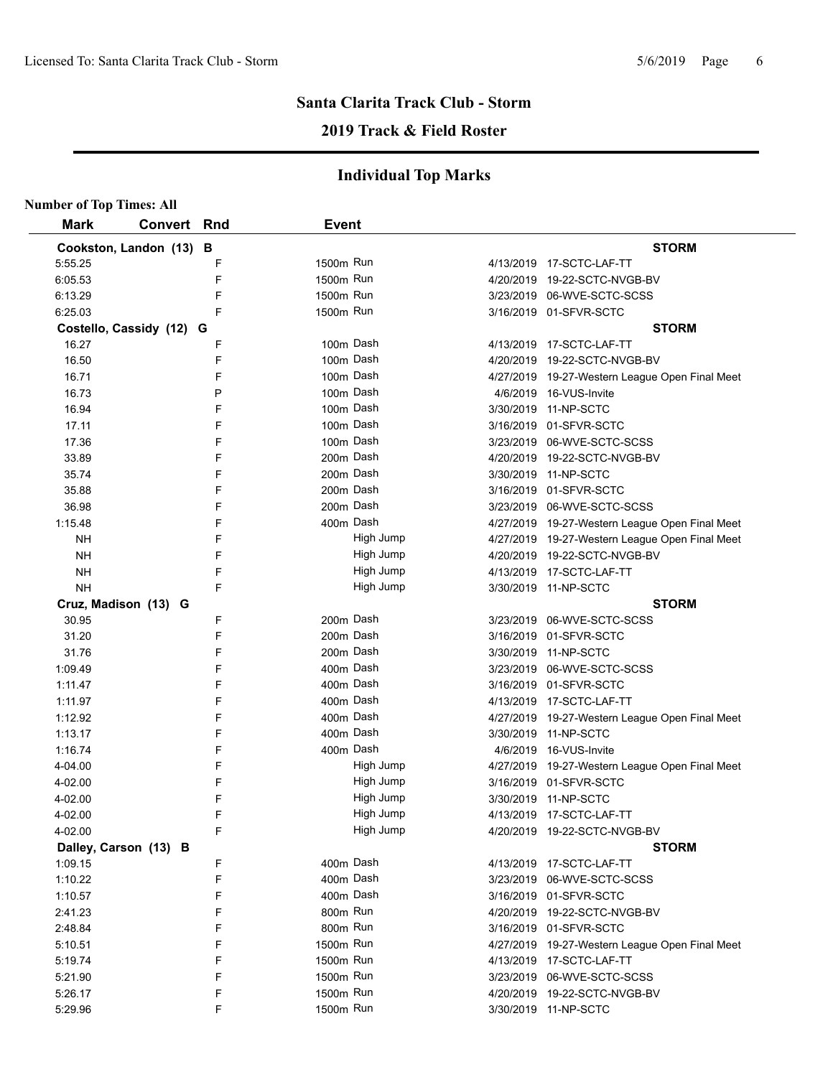## **2019 Track & Field Roster**

| <b>STORM</b><br>4/13/2019  17-SCTC-LAF-TT<br>4/20/2019 19-22-SCTC-NVGB-BV<br>3/23/2019 06-WVE-SCTC-SCSS<br>3/16/2019 01-SFVR-SCTC<br><b>STORM</b> |
|---------------------------------------------------------------------------------------------------------------------------------------------------|
|                                                                                                                                                   |
|                                                                                                                                                   |
|                                                                                                                                                   |
|                                                                                                                                                   |
|                                                                                                                                                   |
|                                                                                                                                                   |
|                                                                                                                                                   |
| 4/13/2019 17-SCTC-LAF-TT                                                                                                                          |
| 4/20/2019 19-22-SCTC-NVGB-BV                                                                                                                      |
| 4/27/2019 19-27-Western League Open Final Meet                                                                                                    |
| 4/6/2019 16-VUS-Invite                                                                                                                            |
| 3/30/2019 11-NP-SCTC                                                                                                                              |
| 3/16/2019 01-SFVR-SCTC                                                                                                                            |
| 3/23/2019 06-WVE-SCTC-SCSS                                                                                                                        |
| 4/20/2019 19-22-SCTC-NVGB-BV                                                                                                                      |
| 3/30/2019 11-NP-SCTC                                                                                                                              |
| 3/16/2019 01-SFVR-SCTC                                                                                                                            |
| 3/23/2019 06-WVE-SCTC-SCSS                                                                                                                        |
| 4/27/2019 19-27-Western League Open Final Meet                                                                                                    |
| 4/27/2019 19-27-Western League Open Final Meet                                                                                                    |
| 4/20/2019 19-22-SCTC-NVGB-BV                                                                                                                      |
| 4/13/2019 17-SCTC-LAF-TT                                                                                                                          |
| 3/30/2019 11-NP-SCTC                                                                                                                              |
| <b>STORM</b>                                                                                                                                      |
| 3/23/2019 06-WVE-SCTC-SCSS                                                                                                                        |
| 3/16/2019 01-SFVR-SCTC                                                                                                                            |
| 3/30/2019 11-NP-SCTC                                                                                                                              |
| 3/23/2019 06-WVE-SCTC-SCSS                                                                                                                        |
| 3/16/2019 01-SFVR-SCTC                                                                                                                            |
| 4/13/2019 17-SCTC-LAF-TT                                                                                                                          |
| 4/27/2019 19-27-Western League Open Final Meet                                                                                                    |
| 3/30/2019 11-NP-SCTC                                                                                                                              |
| 4/6/2019 16-VUS-Invite                                                                                                                            |
| 4/27/2019 19-27-Western League Open Final Meet                                                                                                    |
| 3/16/2019 01-SFVR-SCTC                                                                                                                            |
| 3/30/2019 11-NP-SCTC                                                                                                                              |
| 4/13/2019 17-SCTC-LAF-TT                                                                                                                          |
| 4/20/2019 19-22-SCTC-NVGB-BV                                                                                                                      |
| <b>STORM</b>                                                                                                                                      |
| 4/13/2019 17-SCTC-LAF-TT                                                                                                                          |
| 3/23/2019 06-WVE-SCTC-SCSS                                                                                                                        |
| 3/16/2019 01-SFVR-SCTC                                                                                                                            |
| 4/20/2019 19-22-SCTC-NVGB-BV                                                                                                                      |
| 3/16/2019 01-SFVR-SCTC                                                                                                                            |
| 4/27/2019 19-27-Western League Open Final Meet                                                                                                    |
| 4/13/2019 17-SCTC-LAF-TT                                                                                                                          |
| 3/23/2019 06-WVE-SCTC-SCSS                                                                                                                        |
|                                                                                                                                                   |
| 4/20/2019 19-22-SCTC-NVGB-BV                                                                                                                      |
|                                                                                                                                                   |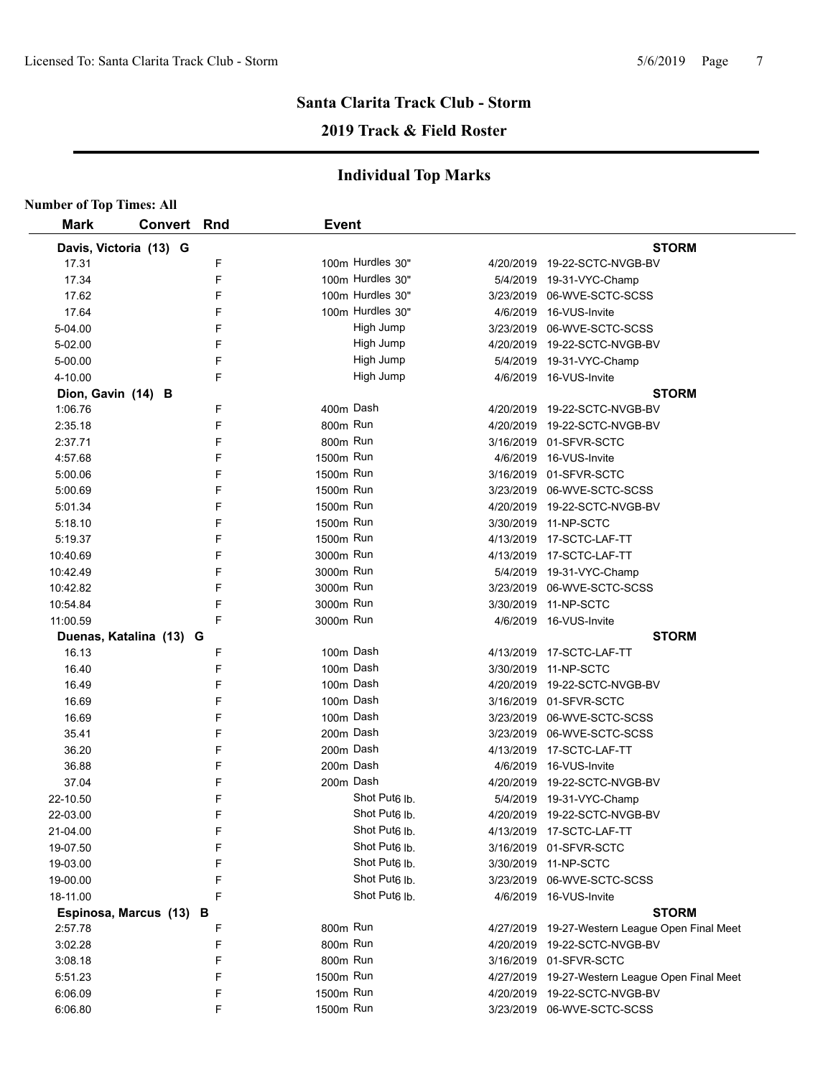## **2019 Track & Field Roster**

| <b>Number of Top Times: All</b> |                         |     |              |                           |                                                |
|---------------------------------|-------------------------|-----|--------------|---------------------------|------------------------------------------------|
| <b>Mark</b>                     | <b>Convert</b>          | Rnd | <b>Event</b> |                           |                                                |
|                                 | Davis, Victoria (13) G  |     |              |                           | <b>STORM</b>                                   |
| 17.31                           |                         | F   |              | 100m Hurdles 30"          | 4/20/2019 19-22-SCTC-NVGB-BV                   |
| 17.34                           |                         | F   |              | 100m Hurdles 30"          | 5/4/2019 19-31-VYC-Champ                       |
| 17.62                           |                         | F   |              | 100m Hurdles 30"          | 3/23/2019 06-WVE-SCTC-SCSS                     |
| 17.64                           |                         | F   |              | 100m Hurdles 30"          | 4/6/2019 16-VUS-Invite                         |
| 5-04.00                         |                         | F   |              | High Jump                 | 3/23/2019 06-WVE-SCTC-SCSS                     |
| 5-02.00                         |                         | F   |              | High Jump                 | 4/20/2019 19-22-SCTC-NVGB-BV                   |
| 5-00.00                         |                         | F   |              | High Jump                 | 5/4/2019 19-31-VYC-Champ                       |
| 4-10.00                         |                         | F   |              | High Jump                 | 4/6/2019 16-VUS-Invite                         |
| Dion, Gavin (14) B              |                         |     |              |                           | <b>STORM</b>                                   |
| 1:06.76                         |                         | F   | 400m Dash    |                           | 4/20/2019 19-22-SCTC-NVGB-BV                   |
| 2:35.18                         |                         | F   | 800m Run     |                           | 4/20/2019 19-22-SCTC-NVGB-BV                   |
| 2:37.71                         |                         | F   | 800m Run     |                           | 3/16/2019 01-SFVR-SCTC                         |
| 4:57.68                         |                         | F   | 1500m Run    |                           | 4/6/2019 16-VUS-Invite                         |
| 5:00.06                         |                         | F   | 1500m Run    |                           | 3/16/2019 01-SFVR-SCTC                         |
| 5:00.69                         |                         | F   | 1500m Run    |                           | 3/23/2019 06-WVE-SCTC-SCSS                     |
| 5:01.34                         |                         | F   | 1500m Run    |                           | 4/20/2019 19-22-SCTC-NVGB-BV                   |
| 5:18.10                         |                         | F   | 1500m Run    |                           | 3/30/2019 11-NP-SCTC                           |
| 5:19.37                         |                         | F   | 1500m Run    |                           | 4/13/2019 17-SCTC-LAF-TT                       |
| 10:40.69                        |                         | F   | 3000m Run    |                           | 4/13/2019 17-SCTC-LAF-TT                       |
| 10:42.49                        |                         | F   | 3000m Run    |                           | 5/4/2019 19-31-VYC-Champ                       |
| 10:42.82                        |                         | F   | 3000m Run    |                           | 3/23/2019 06-WVE-SCTC-SCSS                     |
| 10:54.84                        |                         | F   | 3000m Run    |                           | 3/30/2019 11-NP-SCTC                           |
| 11:00.59                        |                         | F   | 3000m Run    |                           | 4/6/2019 16-VUS-Invite                         |
|                                 | Duenas, Katalina (13) G |     |              |                           | <b>STORM</b>                                   |
| 16.13                           |                         | F   | 100m Dash    |                           | 4/13/2019 17-SCTC-LAF-TT                       |
| 16.40                           |                         | F   | 100m Dash    |                           | 3/30/2019 11-NP-SCTC                           |
| 16.49                           |                         | F   | 100m Dash    |                           | 4/20/2019 19-22-SCTC-NVGB-BV                   |
| 16.69                           |                         | F   | 100m Dash    |                           | 3/16/2019 01-SFVR-SCTC                         |
| 16.69                           |                         | F   | 100m Dash    |                           | 3/23/2019 06-WVE-SCTC-SCSS                     |
| 35.41                           |                         | F   | 200m Dash    |                           | 3/23/2019 06-WVE-SCTC-SCSS                     |
| 36.20                           |                         | F   | 200m Dash    |                           | 4/13/2019 17-SCTC-LAF-TT                       |
| 36.88                           |                         | F   | 200m Dash    |                           | 4/6/2019 16-VUS-Invite                         |
| 37.04                           |                         | F   | 200m Dash    |                           | 4/20/2019 19-22-SCTC-NVGB-BV                   |
| 22-10.50                        |                         | F   |              | Shot Put <sub>6</sub> lb. | 5/4/2019 19-31-VYC-Champ                       |
| 22-03.00                        |                         | F   |              | Shot Put <sub>6</sub> lb. | 4/20/2019 19-22-SCTC-NVGB-BV                   |
| 21-04.00                        |                         | F   |              | Shot Put <sub>6</sub> lb. | 4/13/2019 17-SCTC-LAF-TT                       |
| 19-07.50                        |                         | F   |              | Shot Put <sub>6</sub> lb. | 3/16/2019 01-SFVR-SCTC                         |
| 19-03.00                        |                         | F   |              | Shot Put <sub>6</sub> lb. | 3/30/2019 11-NP-SCTC                           |
| 19-00.00                        |                         | F   |              | Shot Put <sub>6</sub> lb. | 3/23/2019 06-WVE-SCTC-SCSS                     |
| 18-11.00                        |                         | F   |              | Shot Put <sub>6</sub> lb. | 4/6/2019 16-VUS-Invite                         |
|                                 | Espinosa, Marcus (13) B |     |              |                           | <b>STORM</b>                                   |
| 2:57.78                         |                         | F   | 800m Run     |                           | 4/27/2019 19-27-Western League Open Final Meet |
| 3:02.28                         |                         | F   | 800m Run     |                           | 4/20/2019 19-22-SCTC-NVGB-BV                   |
| 3:08.18                         |                         | F   | 800m Run     |                           | 3/16/2019 01-SFVR-SCTC                         |
| 5:51.23                         |                         | F   | 1500m Run    |                           | 4/27/2019 19-27-Western League Open Final Meet |
| 6:06.09                         |                         | F   | 1500m Run    |                           | 4/20/2019 19-22-SCTC-NVGB-BV                   |
| 6:06.80                         |                         | F   | 1500m Run    |                           | 3/23/2019 06-WVE-SCTC-SCSS                     |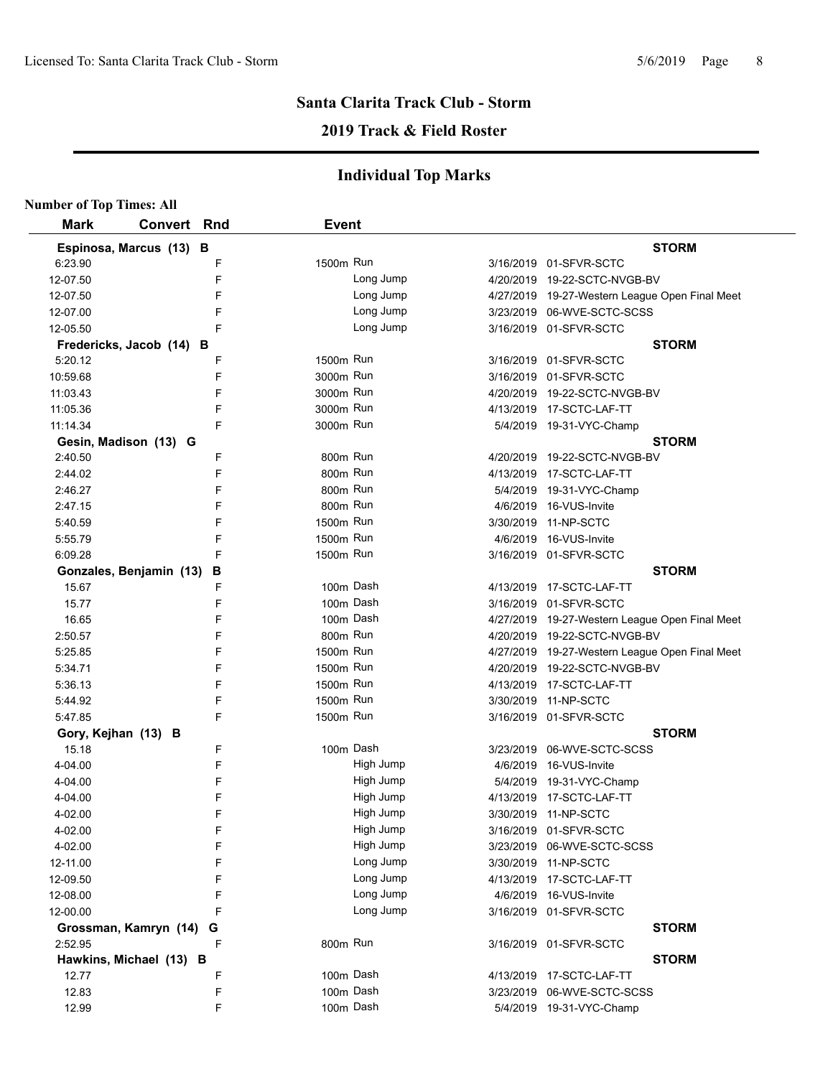## **2019 Track & Field Roster**

| <b>Number of Top Times: All</b> |                          |   |              |           |                                                |
|---------------------------------|--------------------------|---|--------------|-----------|------------------------------------------------|
| <b>Mark</b>                     | <b>Convert Rnd</b>       |   | <b>Event</b> |           |                                                |
|                                 | Espinosa, Marcus (13) B  |   |              |           | <b>STORM</b>                                   |
| 6:23.90                         |                          | F | 1500m Run    |           | 3/16/2019 01-SFVR-SCTC                         |
| 12-07.50                        |                          | F |              | Long Jump | 4/20/2019 19-22-SCTC-NVGB-BV                   |
| 12-07.50                        |                          | F |              | Long Jump | 4/27/2019 19-27-Western League Open Final Meet |
| 12-07.00                        |                          | F |              | Long Jump | 3/23/2019 06-WVE-SCTC-SCSS                     |
| 12-05.50                        |                          | F |              | Long Jump | 3/16/2019 01-SFVR-SCTC                         |
|                                 | Fredericks, Jacob (14) B |   |              |           | <b>STORM</b>                                   |
| 5:20.12                         |                          | F | 1500m Run    |           | 3/16/2019 01-SFVR-SCTC                         |
| 10:59.68                        |                          | F | 3000m Run    |           | 3/16/2019 01-SFVR-SCTC                         |
| 11:03.43                        |                          | F | 3000m Run    |           | 4/20/2019 19-22-SCTC-NVGB-BV                   |
| 11:05.36                        |                          | F | 3000m Run    |           | 4/13/2019 17-SCTC-LAF-TT                       |
| 11:14.34                        |                          | F | 3000m Run    |           | 5/4/2019 19-31-VYC-Champ                       |
|                                 | Gesin, Madison (13) G    |   |              |           | <b>STORM</b>                                   |
| 2:40.50                         |                          | F | 800m Run     |           | 4/20/2019 19-22-SCTC-NVGB-BV                   |
| 2:44.02                         |                          | F | 800m Run     |           | 4/13/2019 17-SCTC-LAF-TT                       |
| 2:46.27                         |                          | F | 800m Run     |           | 5/4/2019 19-31-VYC-Champ                       |
| 2:47.15                         |                          | F | 800m Run     |           | 4/6/2019 16-VUS-Invite                         |
| 5:40.59                         |                          | F | 1500m Run    |           | 3/30/2019 11-NP-SCTC                           |
| 5:55.79                         |                          | F | 1500m Run    |           | 4/6/2019 16-VUS-Invite                         |
| 6:09.28                         |                          | F | 1500m Run    |           | 3/16/2019 01-SFVR-SCTC                         |
|                                 | Gonzales, Benjamin (13)  | В |              |           | <b>STORM</b>                                   |
| 15.67                           |                          | F |              | 100m Dash | 4/13/2019 17-SCTC-LAF-TT                       |
| 15.77                           |                          | F |              | 100m Dash | 3/16/2019 01-SFVR-SCTC                         |
| 16.65                           |                          | F |              | 100m Dash | 4/27/2019 19-27-Western League Open Final Meet |
| 2:50.57                         |                          | F | 800m Run     |           | 4/20/2019 19-22-SCTC-NVGB-BV                   |
| 5:25.85                         |                          | F | 1500m Run    |           | 4/27/2019 19-27-Western League Open Final Meet |
| 5:34.71                         |                          | F | 1500m Run    |           | 4/20/2019 19-22-SCTC-NVGB-BV                   |
| 5:36.13                         |                          | F | 1500m Run    |           | 4/13/2019 17-SCTC-LAF-TT                       |
| 5:44.92                         |                          | F | 1500m Run    |           | 3/30/2019 11-NP-SCTC                           |
| 5:47.85                         |                          | F | 1500m Run    |           | 3/16/2019 01-SFVR-SCTC                         |
|                                 | Gory, Kejhan (13) B      |   |              |           | <b>STORM</b>                                   |
| 15.18                           |                          | F |              | 100m Dash | 3/23/2019 06-WVE-SCTC-SCSS                     |
| 4-04.00                         |                          | F |              | High Jump | 4/6/2019 16-VUS-Invite                         |
| 4-04.00                         |                          | F |              | High Jump | 5/4/2019 19-31-VYC-Champ                       |
| 4-04.00                         |                          | F |              | High Jump | 4/13/2019 17-SCTC-LAF-TT                       |
| 4-02.00                         |                          | F |              | High Jump | 3/30/2019 11-NP-SCTC                           |
| 4-02.00                         |                          | F |              | High Jump | 3/16/2019 01-SFVR-SCTC                         |
| 4-02.00                         |                          | F |              | High Jump | 3/23/2019 06-WVE-SCTC-SCSS                     |
| 12-11.00                        |                          | F |              | Long Jump | 3/30/2019 11-NP-SCTC                           |
| 12-09.50                        |                          | F |              | Long Jump | 4/13/2019 17-SCTC-LAF-TT                       |
| 12-08.00                        |                          | F |              | Long Jump | 4/6/2019 16-VUS-Invite                         |
| 12-00.00                        |                          | F |              | Long Jump | 3/16/2019 01-SFVR-SCTC                         |
|                                 | Grossman, Kamryn (14)    | G |              |           | <b>STORM</b>                                   |
| 2:52.95                         |                          | F | 800m Run     |           | 3/16/2019 01-SFVR-SCTC                         |
|                                 | Hawkins, Michael (13) B  |   |              |           | <b>STORM</b>                                   |
| 12.77                           |                          | F |              | 100m Dash | 4/13/2019 17-SCTC-LAF-TT                       |
| 12.83                           |                          | F |              | 100m Dash | 3/23/2019 06-WVE-SCTC-SCSS                     |
| 12.99                           |                          | F |              | 100m Dash | 5/4/2019 19-31-VYC-Champ                       |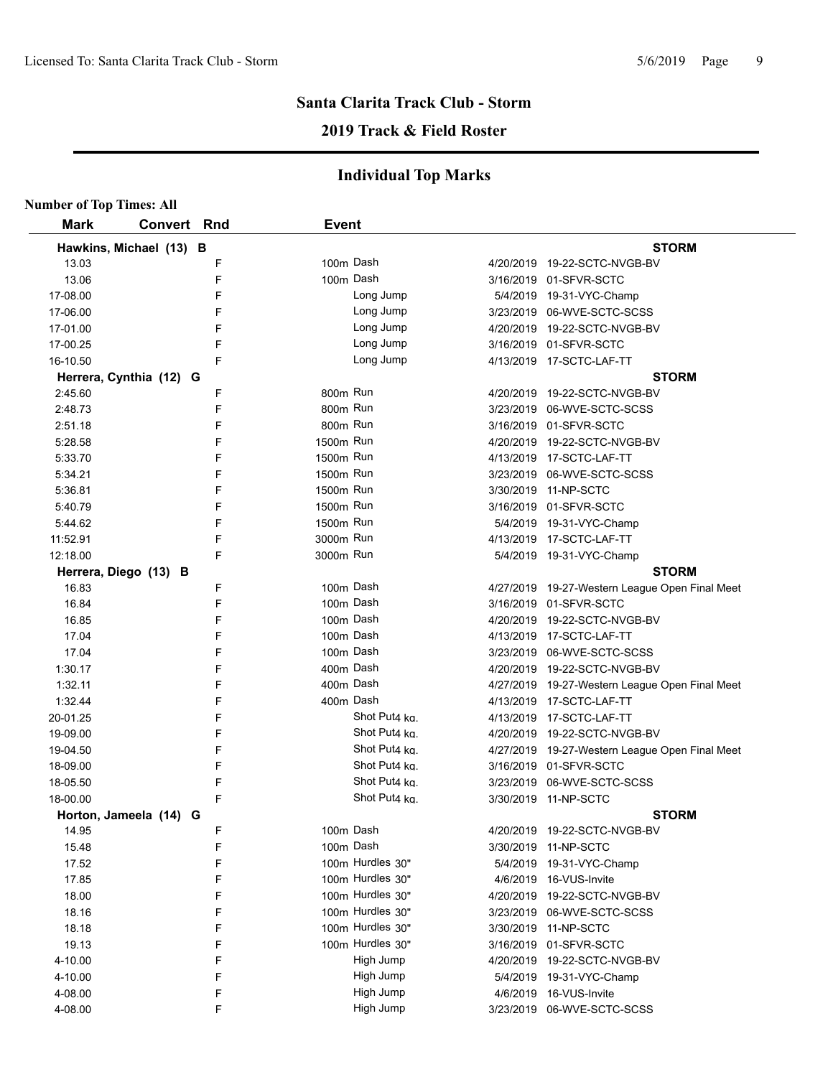## **2019 Track & Field Roster**

| <b>Number of Top Times: All</b> |             |   |              |                  |          |                                                |
|---------------------------------|-------------|---|--------------|------------------|----------|------------------------------------------------|
| <b>Mark</b>                     | Convert Rnd |   | <b>Event</b> |                  |          |                                                |
| Hawkins, Michael (13) B         |             |   |              |                  |          | <b>STORM</b>                                   |
| 13.03                           |             | F |              | 100m Dash        |          | 4/20/2019 19-22-SCTC-NVGB-BV                   |
| 13.06                           |             | F |              | 100m Dash        |          | 3/16/2019 01-SFVR-SCTC                         |
| 17-08.00                        |             | F |              | Long Jump        |          | 5/4/2019 19-31-VYC-Champ                       |
| 17-06.00                        |             | F |              | Long Jump        |          | 3/23/2019 06-WVE-SCTC-SCSS                     |
| 17-01.00                        |             | F |              | Long Jump        |          | 4/20/2019 19-22-SCTC-NVGB-BV                   |
| 17-00.25                        |             | F |              | Long Jump        |          | 3/16/2019 01-SFVR-SCTC                         |
| 16-10.50                        |             | F |              | Long Jump        |          | 4/13/2019 17-SCTC-LAF-TT                       |
| Herrera, Cynthia (12) G         |             |   |              |                  |          | <b>STORM</b>                                   |
| 2:45.60                         |             | F | 800m Run     |                  |          | 4/20/2019 19-22-SCTC-NVGB-BV                   |
| 2:48.73                         |             | F | 800m Run     |                  |          | 3/23/2019 06-WVE-SCTC-SCSS                     |
| 2:51.18                         |             | F | 800m Run     |                  |          | 3/16/2019 01-SFVR-SCTC                         |
| 5:28.58                         |             | F | 1500m Run    |                  |          | 4/20/2019 19-22-SCTC-NVGB-BV                   |
| 5:33.70                         |             | F | 1500m Run    |                  |          | 4/13/2019 17-SCTC-LAF-TT                       |
| 5:34.21                         |             | F | 1500m Run    |                  |          | 3/23/2019 06-WVE-SCTC-SCSS                     |
| 5:36.81                         |             | F | 1500m Run    |                  |          | 3/30/2019 11-NP-SCTC                           |
| 5:40.79                         |             | F | 1500m Run    |                  |          | 3/16/2019 01-SFVR-SCTC                         |
| 5:44.62                         |             | F | 1500m Run    |                  |          | 5/4/2019 19-31-VYC-Champ                       |
| 11:52.91                        |             | F | 3000m Run    |                  |          | 4/13/2019 17-SCTC-LAF-TT                       |
| 12:18.00                        |             | F | 3000m Run    |                  |          | 5/4/2019 19-31-VYC-Champ                       |
| Herrera, Diego (13) B           |             |   |              |                  |          | <b>STORM</b>                                   |
| 16.83                           |             | F |              | 100m Dash        |          | 4/27/2019 19-27-Western League Open Final Meet |
| 16.84                           |             | F |              | 100m Dash        |          | 3/16/2019 01-SFVR-SCTC                         |
| 16.85                           |             | F |              | 100m Dash        |          | 4/20/2019 19-22-SCTC-NVGB-BV                   |
| 17.04                           |             | F |              | 100m Dash        |          | 4/13/2019 17-SCTC-LAF-TT                       |
| 17.04                           |             | F |              | 100m Dash        |          | 3/23/2019 06-WVE-SCTC-SCSS                     |
| 1:30.17                         |             | F |              | 400m Dash        |          | 4/20/2019 19-22-SCTC-NVGB-BV                   |
| 1:32.11                         |             | F |              | 400m Dash        |          | 4/27/2019 19-27-Western League Open Final Meet |
| 1:32.44                         |             | F |              | 400m Dash        |          | 4/13/2019 17-SCTC-LAF-TT                       |
| 20-01.25                        |             | F |              | Shot Put4 kg.    |          | 4/13/2019 17-SCTC-LAF-TT                       |
| 19-09.00                        |             | F |              | Shot Put4 ka.    |          | 4/20/2019 19-22-SCTC-NVGB-BV                   |
| 19-04.50                        |             | F |              | Shot Put4 ka.    |          | 4/27/2019 19-27-Western League Open Final Meet |
| 18-09.00                        |             | F |              | Shot Put4 kg.    |          | 3/16/2019 01-SFVR-SCTC                         |
| 18-05.50                        |             | F |              | Shot Put4 ka.    |          | 3/23/2019 06-WVE-SCTC-SCSS                     |
| 18-00.00                        |             | F |              | Shot Put4 ka.    |          | 3/30/2019 11-NP-SCTC                           |
| Horton, Jameela (14) G          |             |   |              |                  |          | <b>STORM</b>                                   |
| 14.95                           |             | F |              | 100m Dash        |          | 4/20/2019 19-22-SCTC-NVGB-BV                   |
| 15.48                           |             | F |              | 100m Dash        |          | 3/30/2019 11-NP-SCTC                           |
| 17.52                           |             | F |              | 100m Hurdles 30" |          | 5/4/2019 19-31-VYC-Champ                       |
| 17.85                           |             | F |              | 100m Hurdles 30" | 4/6/2019 | 16-VUS-Invite                                  |
| 18.00                           |             | F |              | 100m Hurdles 30" |          | 4/20/2019 19-22-SCTC-NVGB-BV                   |
| 18.16                           |             | F |              | 100m Hurdles 30" |          | 3/23/2019 06-WVE-SCTC-SCSS                     |
| 18.18                           |             | F |              | 100m Hurdles 30" |          | 3/30/2019 11-NP-SCTC                           |
| 19.13                           |             | F |              | 100m Hurdles 30" |          | 3/16/2019 01-SFVR-SCTC                         |
| 4-10.00                         |             | F |              | High Jump        |          | 4/20/2019 19-22-SCTC-NVGB-BV                   |
| 4-10.00                         |             | F |              | High Jump        |          | 5/4/2019 19-31-VYC-Champ                       |
| 4-08.00                         |             | F |              | High Jump        |          | 4/6/2019 16-VUS-Invite                         |
| 4-08.00                         |             | F |              | High Jump        |          | 3/23/2019 06-WVE-SCTC-SCSS                     |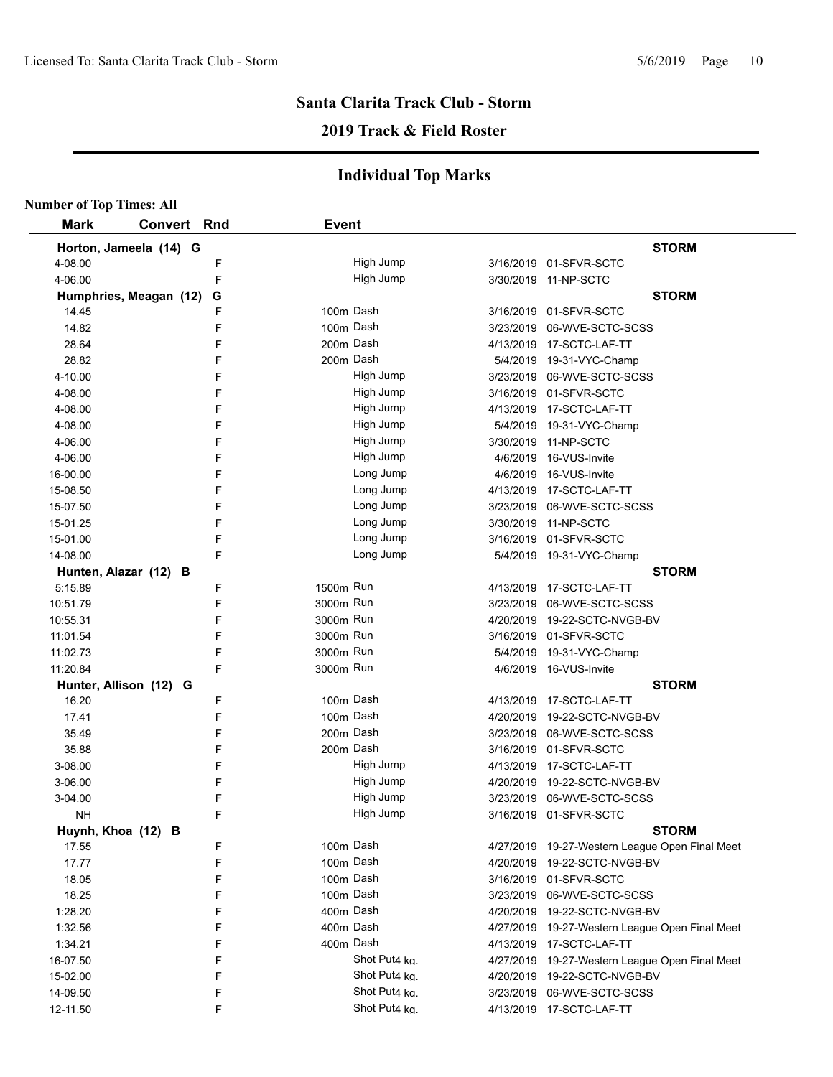## **2019 Track & Field Roster**

| <b>Number of Top Times: All</b> |                        |   |              |               |                                                |
|---------------------------------|------------------------|---|--------------|---------------|------------------------------------------------|
| <b>Mark</b>                     | <b>Convert Rnd</b>     |   | <b>Event</b> |               |                                                |
|                                 | Horton, Jameela (14) G |   |              |               | <b>STORM</b>                                   |
| 4-08.00                         |                        | F |              | High Jump     | 3/16/2019 01-SFVR-SCTC                         |
| 4-06.00                         |                        | F |              | High Jump     | 3/30/2019 11-NP-SCTC                           |
|                                 | Humphries, Meagan (12) | G |              |               | <b>STORM</b>                                   |
| 14.45                           |                        | F | 100m Dash    |               | 3/16/2019 01-SFVR-SCTC                         |
| 14.82                           |                        | F | 100m Dash    |               | 3/23/2019 06-WVE-SCTC-SCSS                     |
| 28.64                           |                        | F | 200m Dash    |               | 4/13/2019 17-SCTC-LAF-TT                       |
| 28.82                           |                        | F | 200m Dash    |               | 5/4/2019 19-31-VYC-Champ                       |
| 4-10.00                         |                        | F |              | High Jump     | 3/23/2019 06-WVE-SCTC-SCSS                     |
| 4-08.00                         |                        | F |              | High Jump     | 3/16/2019 01-SFVR-SCTC                         |
| 4-08.00                         |                        | F |              | High Jump     | 4/13/2019 17-SCTC-LAF-TT                       |
| 4-08.00                         |                        | F |              | High Jump     | 5/4/2019 19-31-VYC-Champ                       |
| 4-06.00                         |                        | F |              | High Jump     | 3/30/2019 11-NP-SCTC                           |
| 4-06.00                         |                        | F |              | High Jump     | 4/6/2019 16-VUS-Invite                         |
| 16-00.00                        |                        | F |              | Long Jump     | 4/6/2019 16-VUS-Invite                         |
| 15-08.50                        |                        | F |              | Long Jump     | 4/13/2019 17-SCTC-LAF-TT                       |
| 15-07.50                        |                        | F |              | Long Jump     | 3/23/2019 06-WVE-SCTC-SCSS                     |
| 15-01.25                        |                        | F |              | Long Jump     | 3/30/2019 11-NP-SCTC                           |
| 15-01.00                        |                        | F |              | Long Jump     | 3/16/2019 01-SFVR-SCTC                         |
| 14-08.00                        |                        | F |              | Long Jump     | 5/4/2019 19-31-VYC-Champ                       |
| Hunten, Alazar (12) B           |                        |   |              |               | <b>STORM</b>                                   |
| 5:15.89                         |                        | F | 1500m Run    |               | 4/13/2019 17-SCTC-LAF-TT                       |
| 10:51.79                        |                        | F | 3000m Run    |               | 3/23/2019 06-WVE-SCTC-SCSS                     |
| 10:55.31                        |                        | F | 3000m Run    |               | 4/20/2019 19-22-SCTC-NVGB-BV                   |
| 11:01.54                        |                        | F | 3000m Run    |               | 3/16/2019 01-SFVR-SCTC                         |
| 11:02.73                        |                        | F | 3000m Run    |               | 5/4/2019 19-31-VYC-Champ                       |
| 11:20.84                        |                        | F | 3000m Run    |               | 4/6/2019 16-VUS-Invite                         |
| Hunter, Allison (12) G          |                        |   |              |               | <b>STORM</b>                                   |
| 16.20                           |                        | F | 100m Dash    |               | 4/13/2019 17-SCTC-LAF-TT                       |
| 17.41                           |                        | F | 100m Dash    |               | 4/20/2019 19-22-SCTC-NVGB-BV                   |
| 35.49                           |                        | F | 200m Dash    |               | 3/23/2019 06-WVE-SCTC-SCSS                     |
| 35.88                           |                        | F | 200m Dash    |               | 3/16/2019 01-SFVR-SCTC                         |
| 3-08.00                         |                        | F |              | High Jump     | 4/13/2019 17-SCTC-LAF-TT                       |
| 3-06.00                         |                        | F |              | High Jump     | 4/20/2019 19-22-SCTC-NVGB-BV                   |
| 3-04.00                         |                        | F |              | High Jump     | 3/23/2019 06-WVE-SCTC-SCSS                     |
| NΗ                              |                        | F |              | High Jump     | 3/16/2019 01-SFVR-SCTC                         |
| Huynh, Khoa (12) B              |                        |   |              |               | <b>STORM</b>                                   |
| 17.55                           |                        | F | 100m Dash    |               | 4/27/2019 19-27-Western League Open Final Meet |
| 17.77                           |                        | F | 100m Dash    |               | 4/20/2019 19-22-SCTC-NVGB-BV                   |
| 18.05                           |                        | F |              | 100m Dash     | 3/16/2019 01-SFVR-SCTC                         |
| 18.25                           |                        | F | 100m Dash    |               | 3/23/2019 06-WVE-SCTC-SCSS                     |
| 1:28.20                         |                        | F | 400m Dash    |               | 4/20/2019 19-22-SCTC-NVGB-BV                   |
| 1:32.56                         |                        | F | 400m Dash    |               | 4/27/2019 19-27-Western League Open Final Meet |
| 1:34.21                         |                        | F | 400m Dash    |               | 4/13/2019 17-SCTC-LAF-TT                       |
| 16-07.50                        |                        | F |              | Shot Put4 kg. | 4/27/2019 19-27-Western League Open Final Meet |
| 15-02.00                        |                        | F |              | Shot Put4 kg. | 4/20/2019 19-22-SCTC-NVGB-BV                   |
| 14-09.50                        |                        | F |              | Shot Put4 ka. | 3/23/2019 06-WVE-SCTC-SCSS                     |
| 12-11.50                        |                        | F |              | Shot Put4 ka. | 4/13/2019 17-SCTC-LAF-TT                       |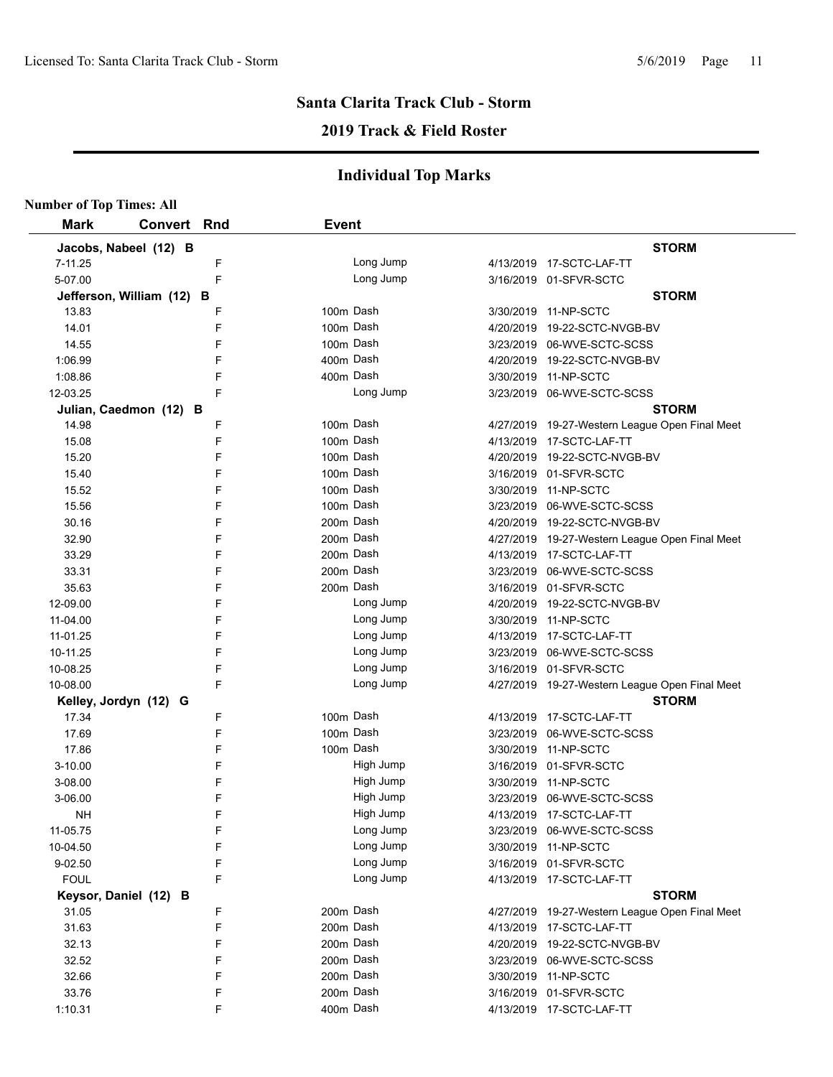## **2019 Track & Field Roster**

| <b>Number of Top Times: All</b> |                           |   |              |           |                                                |
|---------------------------------|---------------------------|---|--------------|-----------|------------------------------------------------|
| <b>Mark</b>                     | <b>Convert Rnd</b>        |   | <b>Event</b> |           |                                                |
|                                 | Jacobs, Nabeel (12) B     |   |              |           | <b>STORM</b>                                   |
| 7-11.25                         |                           | F |              | Long Jump | 4/13/2019 17-SCTC-LAF-TT                       |
| 5-07.00                         |                           | F |              | Long Jump | 3/16/2019 01-SFVR-SCTC                         |
|                                 | Jefferson, William (12) B |   |              |           | <b>STORM</b>                                   |
| 13.83                           |                           | F | 100m Dash    |           | 3/30/2019 11-NP-SCTC                           |
| 14.01                           |                           | F | 100m Dash    |           | 4/20/2019 19-22-SCTC-NVGB-BV                   |
| 14.55                           |                           | F | 100m Dash    |           | 3/23/2019 06-WVE-SCTC-SCSS                     |
| 1:06.99                         |                           | F | 400m Dash    |           | 4/20/2019 19-22-SCTC-NVGB-BV                   |
| 1:08.86                         |                           | F | 400m Dash    |           | 3/30/2019 11-NP-SCTC                           |
| 12-03.25                        |                           | F |              | Long Jump | 3/23/2019 06-WVE-SCTC-SCSS                     |
|                                 | Julian, Caedmon (12) B    |   |              |           | <b>STORM</b>                                   |
| 14.98                           |                           | F | 100m Dash    |           | 4/27/2019 19-27-Western League Open Final Meet |
| 15.08                           |                           | F | 100m Dash    |           | 4/13/2019 17-SCTC-LAF-TT                       |
| 15.20                           |                           | F | 100m Dash    |           | 4/20/2019 19-22-SCTC-NVGB-BV                   |
| 15.40                           |                           | F | 100m Dash    |           | 3/16/2019 01-SFVR-SCTC                         |
| 15.52                           |                           | F | 100m Dash    |           | 3/30/2019 11-NP-SCTC                           |
| 15.56                           |                           | F | 100m Dash    |           | 3/23/2019 06-WVE-SCTC-SCSS                     |
| 30.16                           |                           | F | 200m Dash    |           | 4/20/2019 19-22-SCTC-NVGB-BV                   |
| 32.90                           |                           | F | 200m Dash    |           | 4/27/2019 19-27-Western League Open Final Meet |
| 33.29                           |                           | F | 200m Dash    |           | 4/13/2019 17-SCTC-LAF-TT                       |
| 33.31                           |                           | F | 200m Dash    |           | 3/23/2019 06-WVE-SCTC-SCSS                     |
| 35.63                           |                           | F | 200m Dash    |           | 3/16/2019 01-SFVR-SCTC                         |
| 12-09.00                        |                           | F |              | Long Jump | 4/20/2019 19-22-SCTC-NVGB-BV                   |
| 11-04.00                        |                           | F |              | Long Jump | 3/30/2019 11-NP-SCTC                           |
| 11-01.25                        |                           | F |              | Long Jump | 4/13/2019 17-SCTC-LAF-TT                       |
| 10-11.25                        |                           | F |              | Long Jump | 3/23/2019 06-WVE-SCTC-SCSS                     |
| 10-08.25                        |                           | F |              | Long Jump | 3/16/2019 01-SFVR-SCTC                         |
| 10-08.00                        |                           | F |              | Long Jump | 4/27/2019 19-27-Western League Open Final Meet |
|                                 | Kelley, Jordyn (12) G     |   |              |           | <b>STORM</b>                                   |
| 17.34                           |                           | F | 100m Dash    |           | 4/13/2019 17-SCTC-LAF-TT                       |
| 17.69                           |                           | F | 100m Dash    |           | 3/23/2019 06-WVE-SCTC-SCSS                     |
| 17.86                           |                           | F | 100m Dash    |           | 3/30/2019 11-NP-SCTC                           |
| 3-10.00                         |                           | F |              | High Jump | 3/16/2019 01-SFVR-SCTC                         |
| 3-08.00                         |                           | F |              | High Jump | 3/30/2019 11-NP-SCTC                           |
| 3-06.00                         |                           | F |              | High Jump | 3/23/2019 06-WVE-SCTC-SCSS                     |
| <b>NH</b>                       |                           | F |              | High Jump | 4/13/2019 17-SCTC-LAF-TT                       |
| 11-05.75                        |                           | F |              | Long Jump | 3/23/2019 06-WVE-SCTC-SCSS                     |
| 10-04.50                        |                           | F |              | Long Jump | 3/30/2019 11-NP-SCTC                           |
| 9-02.50                         |                           | F |              | Long Jump | 3/16/2019 01-SFVR-SCTC                         |
| <b>FOUL</b>                     |                           | F |              | Long Jump | 4/13/2019 17-SCTC-LAF-TT                       |
|                                 | Keysor, Daniel (12) B     |   |              |           | <b>STORM</b>                                   |
| 31.05                           |                           | F | 200m Dash    |           | 4/27/2019 19-27-Western League Open Final Meet |
| 31.63                           |                           | F | 200m Dash    |           | 4/13/2019 17-SCTC-LAF-TT                       |
| 32.13                           |                           | F | 200m Dash    |           | 4/20/2019 19-22-SCTC-NVGB-BV                   |
| 32.52                           |                           | F | 200m Dash    |           | 3/23/2019 06-WVE-SCTC-SCSS                     |
| 32.66                           |                           | F | 200m Dash    |           | 3/30/2019 11-NP-SCTC                           |
| 33.76                           |                           | F | 200m Dash    |           | 3/16/2019 01-SFVR-SCTC                         |
| 1:10.31                         |                           | F | 400m Dash    |           | 4/13/2019 17-SCTC-LAF-TT                       |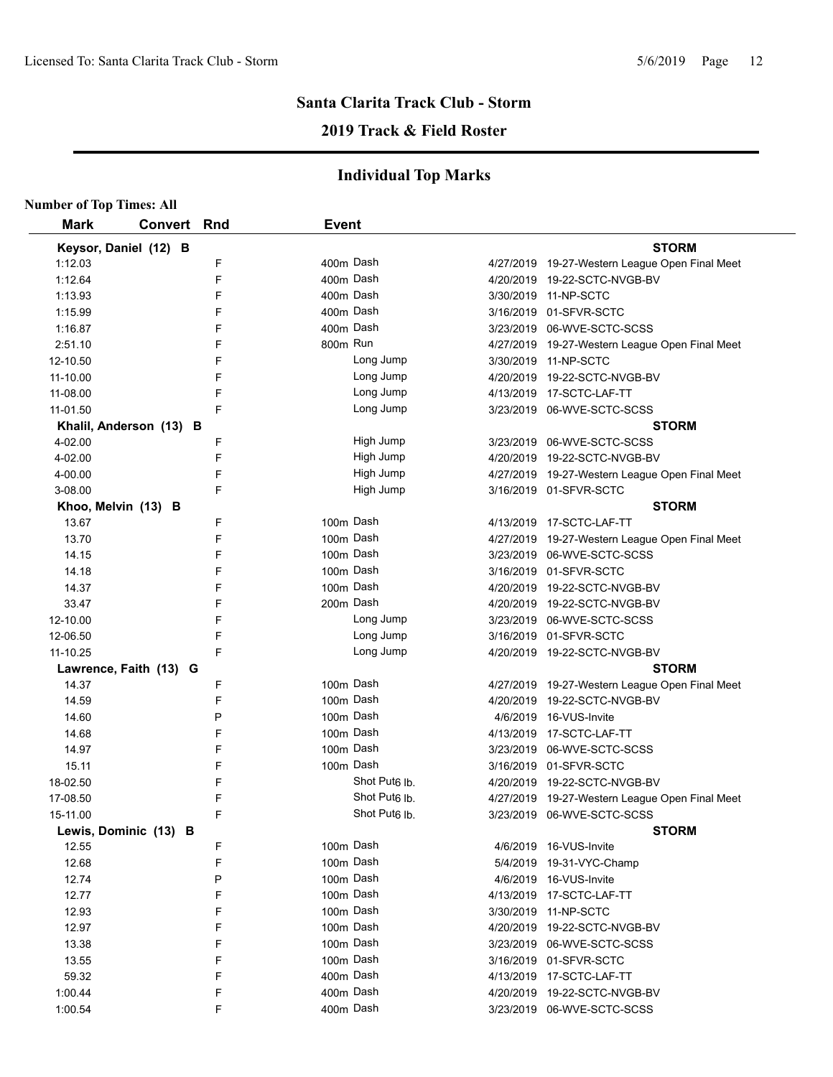## **2019 Track & Field Roster**

| <b>Number of Top Times: All</b> |                         |     |                           |                                                |
|---------------------------------|-------------------------|-----|---------------------------|------------------------------------------------|
| <b>Mark</b>                     | Convert                 | Rnd | <b>Event</b>              |                                                |
|                                 | Keysor, Daniel (12) B   |     |                           | <b>STORM</b>                                   |
| 1:12.03                         |                         | F   | 400m Dash                 | 4/27/2019 19-27-Western League Open Final Meet |
| 1:12.64                         |                         | F   | 400m Dash                 | 4/20/2019 19-22-SCTC-NVGB-BV                   |
| 1:13.93                         |                         | F   | 400m Dash                 | 3/30/2019 11-NP-SCTC                           |
| 1:15.99                         |                         | F   | 400m Dash                 | 3/16/2019 01-SFVR-SCTC                         |
| 1:16.87                         |                         | F   | 400m Dash                 | 3/23/2019 06-WVE-SCTC-SCSS                     |
| 2:51.10                         |                         | F   | 800m Run                  | 4/27/2019 19-27-Western League Open Final Meet |
| 12-10.50                        |                         | F   | Long Jump                 | 3/30/2019 11-NP-SCTC                           |
| 11-10.00                        |                         | F   | Long Jump                 | 4/20/2019 19-22-SCTC-NVGB-BV                   |
| 11-08.00                        |                         | F   | Long Jump                 | 4/13/2019 17-SCTC-LAF-TT                       |
| 11-01.50                        |                         | F   | Long Jump                 | 3/23/2019 06-WVE-SCTC-SCSS                     |
|                                 | Khalil, Anderson (13) B |     |                           | <b>STORM</b>                                   |
| 4-02.00                         |                         | F   | High Jump                 | 3/23/2019 06-WVE-SCTC-SCSS                     |
| 4-02.00                         |                         | F   | High Jump                 | 4/20/2019 19-22-SCTC-NVGB-BV                   |
| 4-00.00                         |                         | F   | High Jump                 | 4/27/2019 19-27-Western League Open Final Meet |
| 3-08.00                         |                         | F   | High Jump                 | 3/16/2019 01-SFVR-SCTC                         |
|                                 | Khoo, Melvin (13) B     |     |                           | <b>STORM</b>                                   |
| 13.67                           |                         | F   | 100m Dash                 | 4/13/2019  17-SCTC-LAF-TT                      |
| 13.70                           |                         | F   | 100m Dash                 | 4/27/2019 19-27-Western League Open Final Meet |
| 14.15                           |                         | F   | 100m Dash                 | 3/23/2019 06-WVE-SCTC-SCSS                     |
| 14.18                           |                         | F   | 100m Dash                 | 3/16/2019 01-SFVR-SCTC                         |
| 14.37                           |                         | F   | 100m Dash                 | 4/20/2019 19-22-SCTC-NVGB-BV                   |
| 33.47                           |                         | F   | 200m Dash                 | 4/20/2019 19-22-SCTC-NVGB-BV                   |
| 12-10.00                        |                         | F   | Long Jump                 | 3/23/2019 06-WVE-SCTC-SCSS                     |
| 12-06.50                        |                         | F   | Long Jump                 | 3/16/2019 01-SFVR-SCTC                         |
| 11-10.25                        |                         | F   | Long Jump                 | 4/20/2019  19-22-SCTC-NVGB-BV                  |
|                                 | Lawrence, Faith (13) G  |     |                           | <b>STORM</b>                                   |
| 14.37                           |                         | F   | 100m Dash                 | 4/27/2019 19-27-Western League Open Final Meet |
| 14.59                           |                         | F   | 100m Dash                 | 4/20/2019  19-22-SCTC-NVGB-BV                  |
| 14.60                           |                         | P   | 100m Dash                 | 4/6/2019 16-VUS-Invite                         |
| 14.68                           |                         | F   | 100m Dash                 | 4/13/2019 17-SCTC-LAF-TT                       |
| 14.97                           |                         | F   | 100m Dash                 | 3/23/2019 06-WVE-SCTC-SCSS                     |
| 15.11                           |                         | F   | 100m Dash                 | 3/16/2019 01-SFVR-SCTC                         |
| 18-02.50                        |                         | F   | Shot Put <sub>6</sub> lb. | 4/20/2019 19-22-SCTC-NVGB-BV                   |
| 17-08.50                        |                         | F   | Shot Put <sub>6</sub> lb. | 4/27/2019 19-27-Western League Open Final Meet |
| 15-11.00                        |                         | F   | Shot Put6 lb.             | 3/23/2019 06-WVE-SCTC-SCSS                     |
|                                 | Lewis, Dominic (13) B   |     |                           | <b>STORM</b>                                   |
| 12.55                           |                         | F   | 100m Dash                 | 4/6/2019 16-VUS-Invite                         |
| 12.68                           |                         | F   | 100m Dash                 | 5/4/2019 19-31-VYC-Champ                       |
| 12.74                           |                         | P   | 100m Dash                 | 4/6/2019 16-VUS-Invite                         |
| 12.77                           |                         | F   | 100m Dash                 | 4/13/2019 17-SCTC-LAF-TT                       |
| 12.93                           |                         | F   | 100m Dash                 | 3/30/2019 11-NP-SCTC                           |
| 12.97                           |                         | F   | 100m Dash                 | 4/20/2019 19-22-SCTC-NVGB-BV                   |
| 13.38                           |                         | F   | 100m Dash                 | 3/23/2019 06-WVE-SCTC-SCSS                     |
| 13.55                           |                         | F   | 100m Dash                 | 3/16/2019 01-SFVR-SCTC                         |
| 59.32                           |                         | F   | 400m Dash                 | 4/13/2019 17-SCTC-LAF-TT                       |
| 1:00.44                         |                         | F   | 400m Dash                 | 4/20/2019 19-22-SCTC-NVGB-BV                   |
| 1:00.54                         |                         | F   | 400m Dash                 | 3/23/2019 06-WVE-SCTC-SCSS                     |
|                                 |                         |     |                           |                                                |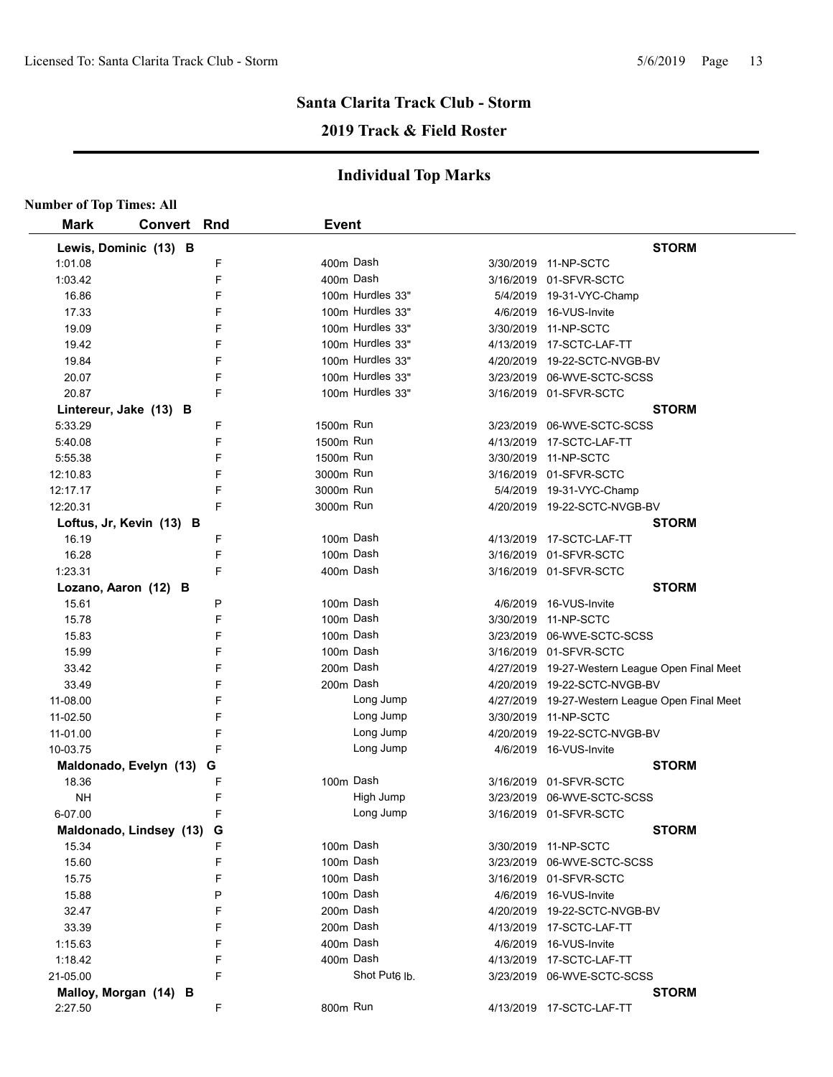## **2019 Track & Field Roster**

|             | <b>Number of Top Times: All</b> |   |                  |                           |                                                |
|-------------|---------------------------------|---|------------------|---------------------------|------------------------------------------------|
| <b>Mark</b> | <b>Convert Rnd</b>              |   | <b>Event</b>     |                           |                                                |
|             | Lewis, Dominic (13) B           |   |                  |                           | <b>STORM</b>                                   |
| 1:01.08     |                                 | F | 400m Dash        |                           | 3/30/2019 11-NP-SCTC                           |
| 1:03.42     |                                 | F | 400m Dash        |                           | 3/16/2019 01-SFVR-SCTC                         |
| 16.86       |                                 | F | 100m Hurdles 33" |                           | 5/4/2019 19-31-VYC-Champ                       |
| 17.33       |                                 | F | 100m Hurdles 33" |                           | 4/6/2019 16-VUS-Invite                         |
| 19.09       |                                 | F | 100m Hurdles 33" |                           | 3/30/2019 11-NP-SCTC                           |
| 19.42       |                                 | F | 100m Hurdles 33" |                           | 4/13/2019 17-SCTC-LAF-TT                       |
| 19.84       |                                 | F | 100m Hurdles 33" |                           | 4/20/2019 19-22-SCTC-NVGB-BV                   |
| 20.07       |                                 | F | 100m Hurdles 33" |                           | 3/23/2019 06-WVE-SCTC-SCSS                     |
| 20.87       |                                 | F | 100m Hurdles 33" |                           | 3/16/2019 01-SFVR-SCTC                         |
|             | Lintereur, Jake (13) B          |   |                  |                           | <b>STORM</b>                                   |
| 5:33.29     |                                 | F | 1500m Run        |                           | 3/23/2019 06-WVE-SCTC-SCSS                     |
| 5:40.08     |                                 | F | 1500m Run        |                           | 4/13/2019 17-SCTC-LAF-TT                       |
| 5:55.38     |                                 | F | 1500m Run        |                           | 3/30/2019 11-NP-SCTC                           |
| 12:10.83    |                                 | F | 3000m Run        |                           | 3/16/2019 01-SFVR-SCTC                         |
| 12:17.17    |                                 | F | 3000m Run        |                           | 5/4/2019 19-31-VYC-Champ                       |
| 12:20.31    |                                 | F | 3000m Run        |                           | 4/20/2019  19-22-SCTC-NVGB-BV                  |
|             | Loftus, Jr, Kevin (13) B        |   |                  |                           | <b>STORM</b>                                   |
| 16.19       |                                 | F | 100m Dash        |                           | 4/13/2019 17-SCTC-LAF-TT                       |
| 16.28       |                                 | F | 100m Dash        |                           | 3/16/2019 01-SFVR-SCTC                         |
| 1:23.31     |                                 | F | 400m Dash        |                           | 3/16/2019 01-SFVR-SCTC                         |
|             | Lozano, Aaron (12) B            |   |                  |                           | <b>STORM</b>                                   |
| 15.61       |                                 | P | 100m Dash        |                           | 4/6/2019 16-VUS-Invite                         |
| 15.78       |                                 | F | 100m Dash        |                           | 3/30/2019 11-NP-SCTC                           |
| 15.83       |                                 | F | 100m Dash        |                           | 3/23/2019 06-WVE-SCTC-SCSS                     |
| 15.99       |                                 | F | 100m Dash        |                           | 3/16/2019 01-SFVR-SCTC                         |
| 33.42       |                                 | F | 200m Dash        |                           | 4/27/2019 19-27-Western League Open Final Meet |
| 33.49       |                                 | F | 200m Dash        |                           | 4/20/2019 19-22-SCTC-NVGB-BV                   |
| 11-08.00    |                                 | F |                  | Long Jump                 | 4/27/2019 19-27-Western League Open Final Meet |
| 11-02.50    |                                 | F |                  | Long Jump                 | 3/30/2019 11-NP-SCTC                           |
| 11-01.00    |                                 | F |                  | Long Jump                 | 4/20/2019 19-22-SCTC-NVGB-BV                   |
| 10-03.75    |                                 | F |                  | Long Jump                 | 4/6/2019 16-VUS-Invite                         |
|             | Maldonado, Evelyn (13)          | G |                  |                           | <b>STORM</b>                                   |
| 18.36       |                                 | F | 100m Dash        |                           | 3/16/2019 01-SFVR-SCTC                         |
| <b>NH</b>   |                                 | F |                  | High Jump                 | 3/23/2019 06-WVE-SCTC-SCSS                     |
| 6-07.00     |                                 | F |                  | Long Jump                 | 3/16/2019 01-SFVR-SCTC                         |
|             | Maldonado, Lindsey (13)         | G |                  |                           | <b>STORM</b>                                   |
| 15.34       |                                 | F | 100m Dash        |                           | 3/30/2019 11-NP-SCTC                           |
| 15.60       |                                 | F | 100m Dash        |                           | 3/23/2019 06-WVE-SCTC-SCSS                     |
| 15.75       |                                 | F | 100m Dash        |                           | 3/16/2019 01-SFVR-SCTC                         |
| 15.88       |                                 | P | 100m Dash        |                           | 4/6/2019 16-VUS-Invite                         |
| 32.47       |                                 | F | 200m Dash        |                           | 4/20/2019 19-22-SCTC-NVGB-BV                   |
| 33.39       |                                 | F | 200m Dash        |                           | 4/13/2019 17-SCTC-LAF-TT                       |
| 1:15.63     |                                 | F | 400m Dash        |                           | 4/6/2019 16-VUS-Invite                         |
| 1:18.42     |                                 | F | 400m Dash        |                           | 4/13/2019 17-SCTC-LAF-TT                       |
| 21-05.00    |                                 | F |                  | Shot Put <sub>6</sub> lb. | 3/23/2019 06-WVE-SCTC-SCSS                     |
|             | Malloy, Morgan (14) B           |   |                  |                           | <b>STORM</b>                                   |
| 2:27.50     |                                 | F | 800m Run         |                           | 4/13/2019 17-SCTC-LAF-TT                       |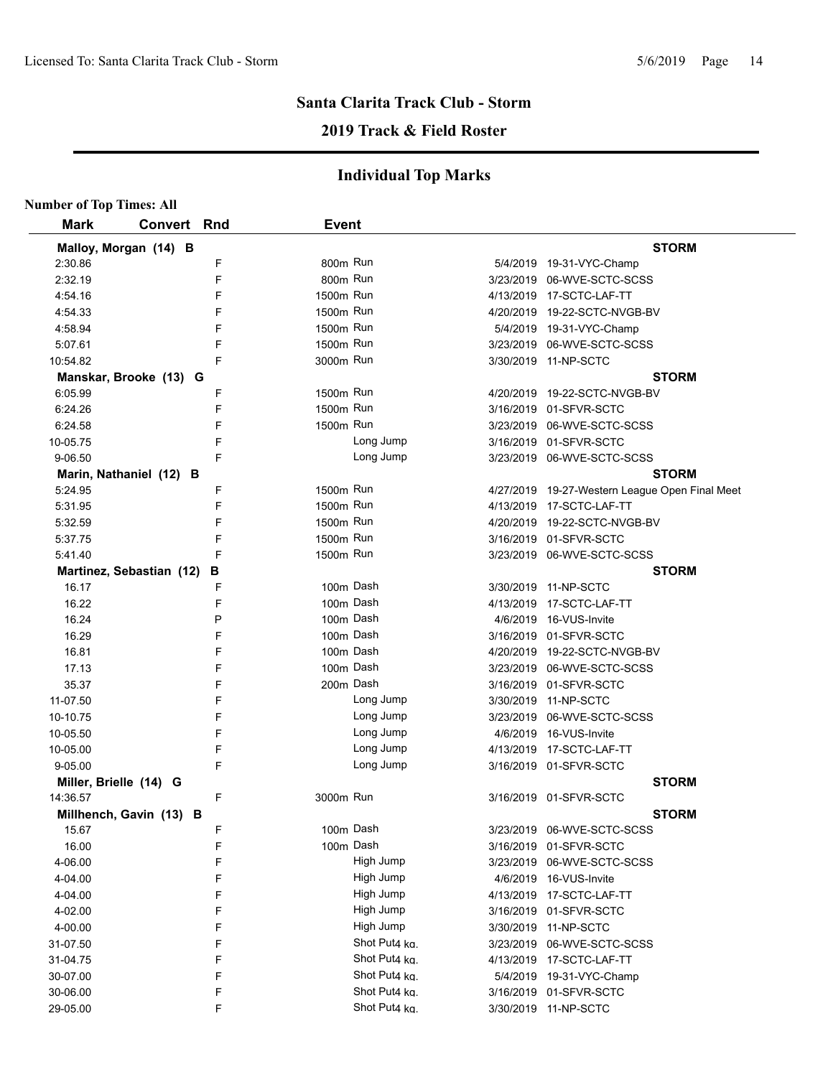## **2019 Track & Field Roster**

|                        | <b>Number of Top Times: All</b> |   |              |               |  |                                                |  |  |  |
|------------------------|---------------------------------|---|--------------|---------------|--|------------------------------------------------|--|--|--|
| <b>Mark</b>            | Convert Rnd                     |   | <b>Event</b> |               |  |                                                |  |  |  |
| Malloy, Morgan (14) B  |                                 |   |              |               |  | <b>STORM</b>                                   |  |  |  |
| 2:30.86                |                                 | F | 800m Run     |               |  | 5/4/2019 19-31-VYC-Champ                       |  |  |  |
| 2:32.19                |                                 | F | 800m Run     |               |  | 3/23/2019 06-WVE-SCTC-SCSS                     |  |  |  |
| 4:54.16                |                                 | F | 1500m Run    |               |  | 4/13/2019 17-SCTC-LAF-TT                       |  |  |  |
| 4:54.33                |                                 | F | 1500m Run    |               |  | 4/20/2019 19-22-SCTC-NVGB-BV                   |  |  |  |
| 4:58.94                |                                 | F | 1500m Run    |               |  | 5/4/2019 19-31-VYC-Champ                       |  |  |  |
| 5:07.61                |                                 | F | 1500m Run    |               |  | 3/23/2019 06-WVE-SCTC-SCSS                     |  |  |  |
| 10:54.82               |                                 | F | 3000m Run    |               |  | 3/30/2019 11-NP-SCTC                           |  |  |  |
|                        | Manskar, Brooke (13) G          |   |              |               |  | <b>STORM</b>                                   |  |  |  |
| 6:05.99                |                                 | F | 1500m Run    |               |  | 4/20/2019 19-22-SCTC-NVGB-BV                   |  |  |  |
| 6:24.26                |                                 | F | 1500m Run    |               |  | 3/16/2019 01-SFVR-SCTC                         |  |  |  |
| 6:24.58                |                                 | F | 1500m Run    |               |  | 3/23/2019 06-WVE-SCTC-SCSS                     |  |  |  |
| 10-05.75               |                                 | F |              | Long Jump     |  | 3/16/2019 01-SFVR-SCTC                         |  |  |  |
| 9-06.50                |                                 | F |              | Long Jump     |  | 3/23/2019 06-WVE-SCTC-SCSS                     |  |  |  |
|                        | Marin, Nathaniel (12) B         |   |              |               |  | <b>STORM</b>                                   |  |  |  |
| 5:24.95                |                                 | F | 1500m Run    |               |  | 4/27/2019 19-27-Western League Open Final Meet |  |  |  |
| 5:31.95                |                                 | F | 1500m Run    |               |  | 4/13/2019  17-SCTC-LAF-TT                      |  |  |  |
| 5:32.59                |                                 | F | 1500m Run    |               |  | 4/20/2019 19-22-SCTC-NVGB-BV                   |  |  |  |
| 5:37.75                |                                 | F | 1500m Run    |               |  | 3/16/2019 01-SFVR-SCTC                         |  |  |  |
| 5:41.40                |                                 | F | 1500m Run    |               |  | 3/23/2019 06-WVE-SCTC-SCSS                     |  |  |  |
|                        | Martinez, Sebastian (12)        | В |              |               |  | <b>STORM</b>                                   |  |  |  |
| 16.17                  |                                 | F | 100m Dash    |               |  | 3/30/2019 11-NP-SCTC                           |  |  |  |
| 16.22                  |                                 | F | 100m Dash    |               |  | 4/13/2019  17-SCTC-LAF-TT                      |  |  |  |
| 16.24                  |                                 | P | 100m Dash    |               |  | 4/6/2019 16-VUS-Invite                         |  |  |  |
| 16.29                  |                                 | F | 100m Dash    |               |  | 3/16/2019 01-SFVR-SCTC                         |  |  |  |
| 16.81                  |                                 | F | 100m Dash    |               |  | 4/20/2019 19-22-SCTC-NVGB-BV                   |  |  |  |
| 17.13                  |                                 | F | 100m Dash    |               |  | 3/23/2019 06-WVE-SCTC-SCSS                     |  |  |  |
| 35.37                  |                                 | F | 200m Dash    |               |  | 3/16/2019 01-SFVR-SCTC                         |  |  |  |
| 11-07.50               |                                 | F |              | Long Jump     |  | 3/30/2019 11-NP-SCTC                           |  |  |  |
| 10-10.75               |                                 | F |              | Long Jump     |  | 3/23/2019 06-WVE-SCTC-SCSS                     |  |  |  |
| 10-05.50               |                                 | F |              | Long Jump     |  | 4/6/2019 16-VUS-Invite                         |  |  |  |
| 10-05.00               |                                 | F |              | Long Jump     |  | 4/13/2019  17-SCTC-LAF-TT                      |  |  |  |
| 9-05.00                |                                 | F |              | Long Jump     |  | 3/16/2019 01-SFVR-SCTC                         |  |  |  |
| Miller, Brielle (14) G |                                 |   |              |               |  | <b>STORM</b>                                   |  |  |  |
| 14:36.57               |                                 | F | 3000m Run    |               |  | 3/16/2019 01-SFVR-SCTC                         |  |  |  |
|                        | Millhench, Gavin (13) B         |   |              |               |  | <b>STORM</b>                                   |  |  |  |
| 15.67                  |                                 | F | 100m Dash    |               |  | 3/23/2019 06-WVE-SCTC-SCSS                     |  |  |  |
| 16.00                  |                                 | F | 100m Dash    |               |  | 3/16/2019 01-SFVR-SCTC                         |  |  |  |
| 4-06.00                |                                 | F |              | High Jump     |  | 3/23/2019 06-WVE-SCTC-SCSS                     |  |  |  |
| 4-04.00                |                                 | F |              | High Jump     |  | 4/6/2019 16-VUS-Invite                         |  |  |  |
| 4-04.00                |                                 | F |              | High Jump     |  | 4/13/2019 17-SCTC-LAF-TT                       |  |  |  |
| 4-02.00                |                                 | F |              | High Jump     |  | 3/16/2019 01-SFVR-SCTC                         |  |  |  |
| 4-00.00                |                                 | F |              | High Jump     |  | 3/30/2019 11-NP-SCTC                           |  |  |  |
| 31-07.50               |                                 | F |              | Shot Put4 kg. |  | 3/23/2019 06-WVE-SCTC-SCSS                     |  |  |  |
| 31-04.75               |                                 | F |              | Shot Put4 kg. |  | 4/13/2019 17-SCTC-LAF-TT                       |  |  |  |
| 30-07.00               |                                 | F |              | Shot Put4 kg. |  | 5/4/2019 19-31-VYC-Champ                       |  |  |  |
| 30-06.00               |                                 | F |              | Shot Put4 kg. |  | 3/16/2019 01-SFVR-SCTC                         |  |  |  |
| 29-05.00               |                                 | F |              | Shot Put4 ka. |  | 3/30/2019 11-NP-SCTC                           |  |  |  |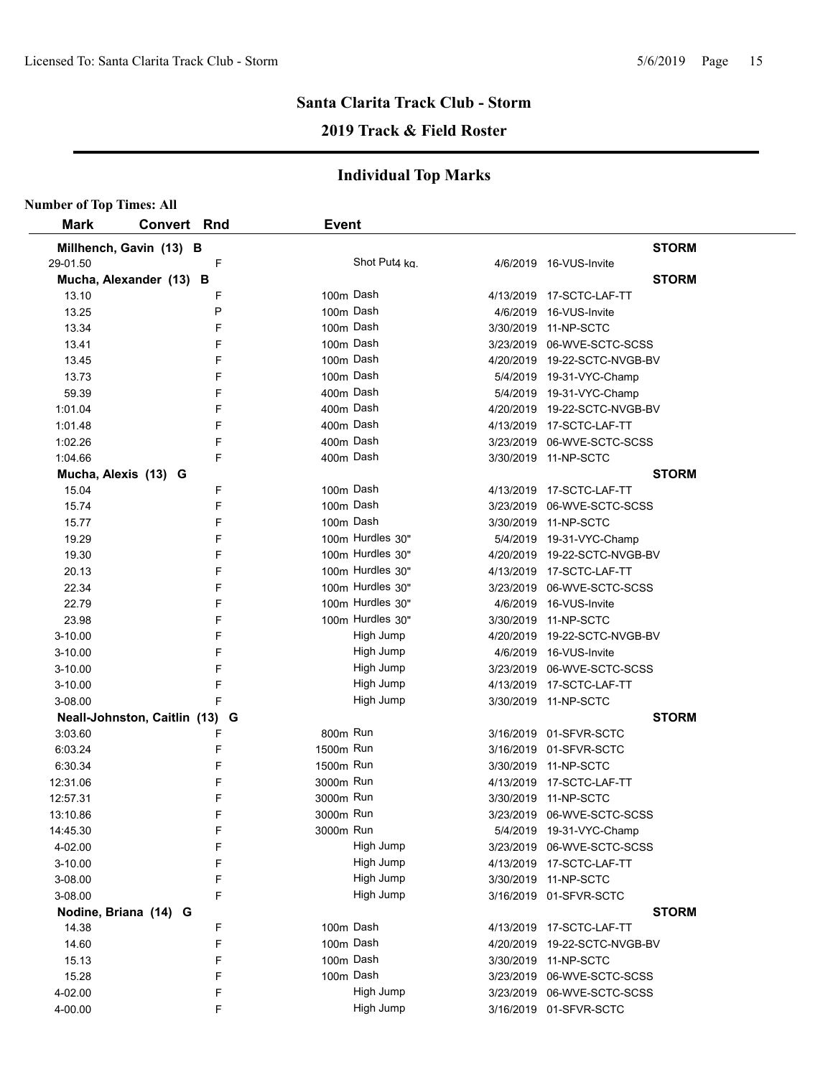## **2019 Track & Field Roster**

| <b>Number of Top Times: All</b> |                    |   |              |                  |                              |
|---------------------------------|--------------------|---|--------------|------------------|------------------------------|
| <b>Mark</b>                     | <b>Convert Rnd</b> |   | <b>Event</b> |                  |                              |
| Millhench, Gavin (13) B         |                    |   |              |                  | <b>STORM</b>                 |
| 29-01.50                        |                    | F |              | Shot Put4 ka.    | 4/6/2019 16-VUS-Invite       |
| Mucha, Alexander (13) B         |                    |   |              |                  | <b>STORM</b>                 |
| 13.10                           |                    | F |              | 100m Dash        | 4/13/2019 17-SCTC-LAF-TT     |
| 13.25                           |                    | P |              | 100m Dash        | 4/6/2019 16-VUS-Invite       |
| 13.34                           |                    | F |              | 100m Dash        | 3/30/2019 11-NP-SCTC         |
| 13.41                           |                    | F |              | 100m Dash        | 3/23/2019 06-WVE-SCTC-SCSS   |
| 13.45                           |                    | F |              | 100m Dash        | 4/20/2019 19-22-SCTC-NVGB-BV |
| 13.73                           |                    | F |              | 100m Dash        | 5/4/2019 19-31-VYC-Champ     |
| 59.39                           |                    | F |              | 400m Dash        | 5/4/2019 19-31-VYC-Champ     |
| 1:01.04                         |                    | F |              | 400m Dash        | 4/20/2019 19-22-SCTC-NVGB-BV |
| 1:01.48                         |                    | F |              | 400m Dash        | 4/13/2019 17-SCTC-LAF-TT     |
| 1:02.26                         |                    | F |              | 400m Dash        | 3/23/2019 06-WVE-SCTC-SCSS   |
| 1:04.66                         |                    | F |              | 400m Dash        | 3/30/2019 11-NP-SCTC         |
| Mucha, Alexis (13) G            |                    |   |              |                  | <b>STORM</b>                 |
| 15.04                           |                    | F |              | 100m Dash        | 4/13/2019 17-SCTC-LAF-TT     |
| 15.74                           |                    | F |              | 100m Dash        | 3/23/2019 06-WVE-SCTC-SCSS   |
| 15.77                           |                    | F |              | 100m Dash        | 3/30/2019 11-NP-SCTC         |
| 19.29                           |                    | F |              | 100m Hurdles 30" | 5/4/2019 19-31-VYC-Champ     |
| 19.30                           |                    | F |              | 100m Hurdles 30" | 4/20/2019 19-22-SCTC-NVGB-BV |
| 20.13                           |                    | F |              | 100m Hurdles 30" | 4/13/2019 17-SCTC-LAF-TT     |
| 22.34                           |                    | F |              | 100m Hurdles 30" | 3/23/2019 06-WVE-SCTC-SCSS   |
| 22.79                           |                    | F |              | 100m Hurdles 30" | 4/6/2019 16-VUS-Invite       |
| 23.98                           |                    | F |              | 100m Hurdles 30" | 3/30/2019 11-NP-SCTC         |
| 3-10.00                         |                    | F |              | High Jump        | 4/20/2019 19-22-SCTC-NVGB-BV |
| 3-10.00                         |                    | F |              | High Jump        | 4/6/2019 16-VUS-Invite       |
| 3-10.00                         |                    | F |              | High Jump        | 3/23/2019 06-WVE-SCTC-SCSS   |
| 3-10.00                         |                    | F |              | High Jump        | 4/13/2019 17-SCTC-LAF-TT     |
| 3-08.00                         |                    | F |              | High Jump        | 3/30/2019 11-NP-SCTC         |
| Neall-Johnston, Caitlin (13) G  |                    |   |              |                  | <b>STORM</b>                 |
| 3:03.60                         |                    | F | 800m Run     |                  | 3/16/2019 01-SFVR-SCTC       |
| 6:03.24                         |                    | F | 1500m Run    |                  | 3/16/2019 01-SFVR-SCTC       |
| 6:30.34                         |                    | F | 1500m Run    |                  | 3/30/2019 11-NP-SCTC         |
| 12:31.06                        |                    | F | 3000m Run    |                  | 4/13/2019 17-SCTC-LAF-TT     |
| 12:57.31                        |                    | F | 3000m Run    |                  | 3/30/2019 11-NP-SCTC         |
| 13:10.86                        |                    | F | 3000m Run    |                  | 3/23/2019 06-WVE-SCTC-SCSS   |
| 14:45.30                        |                    | F | 3000m Run    |                  | 5/4/2019 19-31-VYC-Champ     |
| 4-02.00                         |                    | F |              | High Jump        | 3/23/2019 06-WVE-SCTC-SCSS   |
| 3-10.00                         |                    | F |              | High Jump        | 4/13/2019 17-SCTC-LAF-TT     |
| 3-08.00                         |                    | F |              | High Jump        | 3/30/2019 11-NP-SCTC         |
| 3-08.00                         |                    | F |              | High Jump        | 3/16/2019 01-SFVR-SCTC       |
| Nodine, Briana (14) G           |                    |   |              |                  | <b>STORM</b>                 |
| 14.38                           |                    | F |              | 100m Dash        | 4/13/2019 17-SCTC-LAF-TT     |
| 14.60                           |                    | F |              | 100m Dash        | 4/20/2019 19-22-SCTC-NVGB-BV |
| 15.13                           |                    | F |              | 100m Dash        | 3/30/2019 11-NP-SCTC         |
| 15.28                           |                    | F |              | 100m Dash        | 3/23/2019 06-WVE-SCTC-SCSS   |
| 4-02.00                         |                    | F |              | High Jump        | 3/23/2019 06-WVE-SCTC-SCSS   |
|                                 |                    | F |              | High Jump        |                              |
| 4-00.00                         |                    |   |              |                  | 3/16/2019 01-SFVR-SCTC       |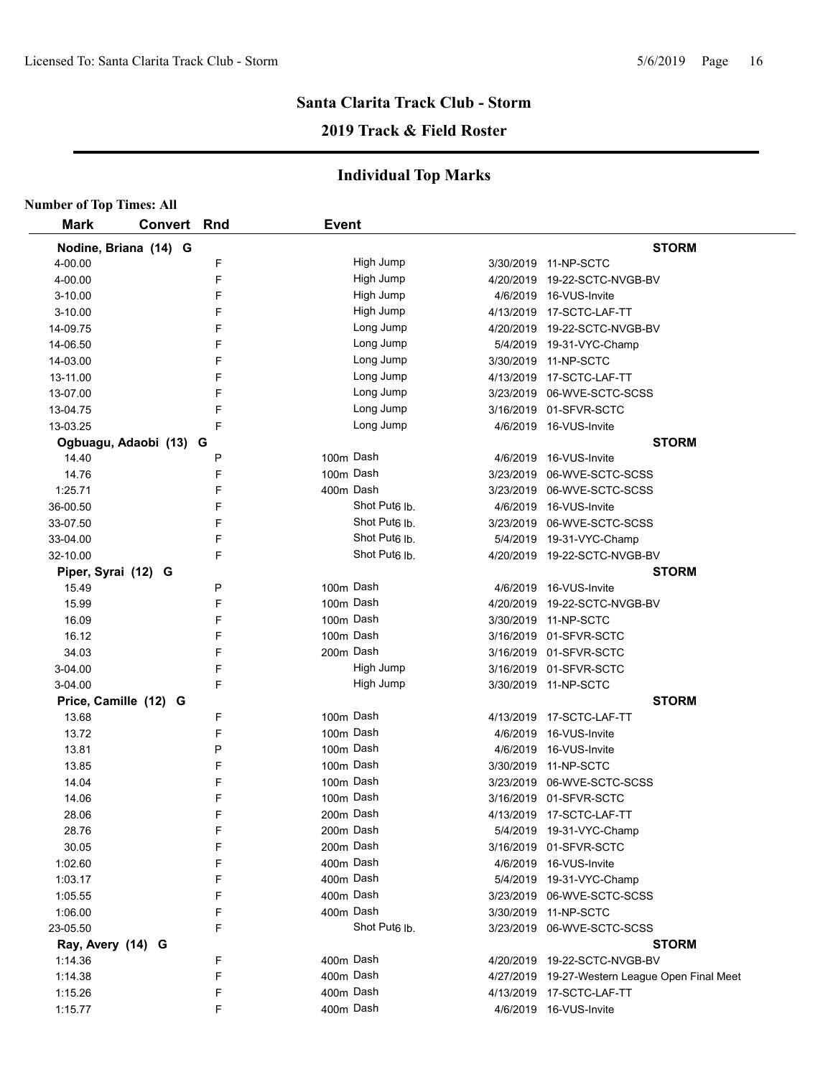## **2019 Track & Field Roster**

|                     | <b>Number of Top Times: All</b> |   |              |                           |  |                                                |  |  |  |  |
|---------------------|---------------------------------|---|--------------|---------------------------|--|------------------------------------------------|--|--|--|--|
| <b>Mark</b>         | <b>Convert Rnd</b>              |   | <b>Event</b> |                           |  |                                                |  |  |  |  |
|                     | Nodine, Briana (14) G           |   |              |                           |  | <b>STORM</b>                                   |  |  |  |  |
| 4-00.00             |                                 | F |              | High Jump                 |  | 3/30/2019 11-NP-SCTC                           |  |  |  |  |
| 4-00.00             |                                 | F |              | High Jump                 |  | 4/20/2019 19-22-SCTC-NVGB-BV                   |  |  |  |  |
| 3-10.00             |                                 | F |              | High Jump                 |  | 4/6/2019 16-VUS-Invite                         |  |  |  |  |
| 3-10.00             |                                 | F |              | High Jump                 |  | 4/13/2019 17-SCTC-LAF-TT                       |  |  |  |  |
| 14-09.75            |                                 | F |              | Long Jump                 |  | 4/20/2019 19-22-SCTC-NVGB-BV                   |  |  |  |  |
| 14-06.50            |                                 | F |              | Long Jump                 |  | 5/4/2019 19-31-VYC-Champ                       |  |  |  |  |
| 14-03.00            |                                 | F |              | Long Jump                 |  | 3/30/2019 11-NP-SCTC                           |  |  |  |  |
| 13-11.00            |                                 | F |              | Long Jump                 |  | 4/13/2019 17-SCTC-LAF-TT                       |  |  |  |  |
| 13-07.00            |                                 | F |              | Long Jump                 |  | 3/23/2019 06-WVE-SCTC-SCSS                     |  |  |  |  |
| 13-04.75            |                                 | F |              | Long Jump                 |  | 3/16/2019 01-SFVR-SCTC                         |  |  |  |  |
| 13-03.25            |                                 | F |              | Long Jump                 |  | 4/6/2019 16-VUS-Invite                         |  |  |  |  |
|                     | Ogbuagu, Adaobi (13) G          |   |              |                           |  | <b>STORM</b>                                   |  |  |  |  |
| 14.40               |                                 | P |              | 100m Dash                 |  | 4/6/2019 16-VUS-Invite                         |  |  |  |  |
| 14.76               |                                 | F |              | 100m Dash                 |  | 3/23/2019 06-WVE-SCTC-SCSS                     |  |  |  |  |
| 1:25.71             |                                 | F |              | 400m Dash                 |  | 3/23/2019 06-WVE-SCTC-SCSS                     |  |  |  |  |
| 36-00.50            |                                 | F |              | Shot Put <sub>6</sub> lb. |  | 4/6/2019 16-VUS-Invite                         |  |  |  |  |
| 33-07.50            |                                 | F |              | Shot Put <sub>6</sub> lb. |  | 3/23/2019 06-WVE-SCTC-SCSS                     |  |  |  |  |
| 33-04.00            |                                 | F |              | Shot Put <sub>6</sub> Ib. |  | 5/4/2019 19-31-VYC-Champ                       |  |  |  |  |
| 32-10.00            |                                 | F |              | Shot Put <sub>6</sub> lb. |  | 4/20/2019 19-22-SCTC-NVGB-BV                   |  |  |  |  |
| Piper, Syrai (12) G |                                 |   |              |                           |  | <b>STORM</b>                                   |  |  |  |  |
| 15.49               |                                 | P |              | 100m Dash                 |  | 4/6/2019 16-VUS-Invite                         |  |  |  |  |
| 15.99               |                                 | F |              | 100m Dash                 |  | 4/20/2019 19-22-SCTC-NVGB-BV                   |  |  |  |  |
| 16.09               |                                 | F |              | 100m Dash                 |  | 3/30/2019 11-NP-SCTC                           |  |  |  |  |
| 16.12               |                                 | F |              | 100m Dash                 |  | 3/16/2019 01-SFVR-SCTC                         |  |  |  |  |
| 34.03               |                                 | F |              | 200m Dash                 |  | 3/16/2019 01-SFVR-SCTC                         |  |  |  |  |
| 3-04.00             |                                 | F |              | High Jump                 |  | 3/16/2019 01-SFVR-SCTC                         |  |  |  |  |
| 3-04.00             |                                 | F |              | High Jump                 |  | 3/30/2019 11-NP-SCTC                           |  |  |  |  |
|                     | Price, Camille (12) G           |   |              |                           |  | <b>STORM</b>                                   |  |  |  |  |
| 13.68               |                                 | F |              | 100m Dash                 |  | 4/13/2019 17-SCTC-LAF-TT                       |  |  |  |  |
| 13.72               |                                 | F |              | 100m Dash                 |  | 4/6/2019 16-VUS-Invite                         |  |  |  |  |
| 13.81               |                                 | P |              | 100m Dash                 |  | 4/6/2019 16-VUS-Invite                         |  |  |  |  |
| 13.85               |                                 | F |              | 100m Dash                 |  | 3/30/2019 11-NP-SCTC                           |  |  |  |  |
| 14.04               |                                 | F |              | 100m Dash                 |  | 3/23/2019 06-WVE-SCTC-SCSS                     |  |  |  |  |
| 14.06               |                                 | E |              | 100m Dash                 |  | 3/16/2019 01-SFVR-SCTC                         |  |  |  |  |
| 28.06               |                                 | F |              | 200m Dash                 |  | 4/13/2019 17-SCTC-LAF-TT                       |  |  |  |  |
| 28.76               |                                 | F |              | 200m Dash                 |  | 5/4/2019 19-31-VYC-Champ                       |  |  |  |  |
| 30.05               |                                 | F |              | 200m Dash                 |  | 3/16/2019 01-SFVR-SCTC                         |  |  |  |  |
| 1:02.60             |                                 | F |              | 400m Dash                 |  | 4/6/2019 16-VUS-Invite                         |  |  |  |  |
| 1:03.17             |                                 | F |              | 400m Dash                 |  | 5/4/2019 19-31-VYC-Champ                       |  |  |  |  |
|                     |                                 | F |              | 400m Dash                 |  |                                                |  |  |  |  |
| 1:05.55             |                                 | F |              | 400m Dash                 |  | 3/23/2019 06-WVE-SCTC-SCSS                     |  |  |  |  |
| 1:06.00             |                                 |   |              | Shot Put <sub>6</sub> lb. |  | 3/30/2019 11-NP-SCTC                           |  |  |  |  |
| 23-05.50            |                                 | F |              |                           |  | 3/23/2019 06-WVE-SCTC-SCSS                     |  |  |  |  |
| Ray, Avery (14) G   |                                 |   |              |                           |  | <b>STORM</b>                                   |  |  |  |  |
| 1:14.36             |                                 | F |              | 400m Dash                 |  | 4/20/2019 19-22-SCTC-NVGB-BV                   |  |  |  |  |
| 1:14.38             |                                 | F |              | 400m Dash                 |  | 4/27/2019 19-27-Western League Open Final Meet |  |  |  |  |
| 1:15.26             |                                 | F |              | 400m Dash                 |  | 4/13/2019 17-SCTC-LAF-TT                       |  |  |  |  |
| 1:15.77             |                                 | F |              | 400m Dash                 |  | 4/6/2019 16-VUS-Invite                         |  |  |  |  |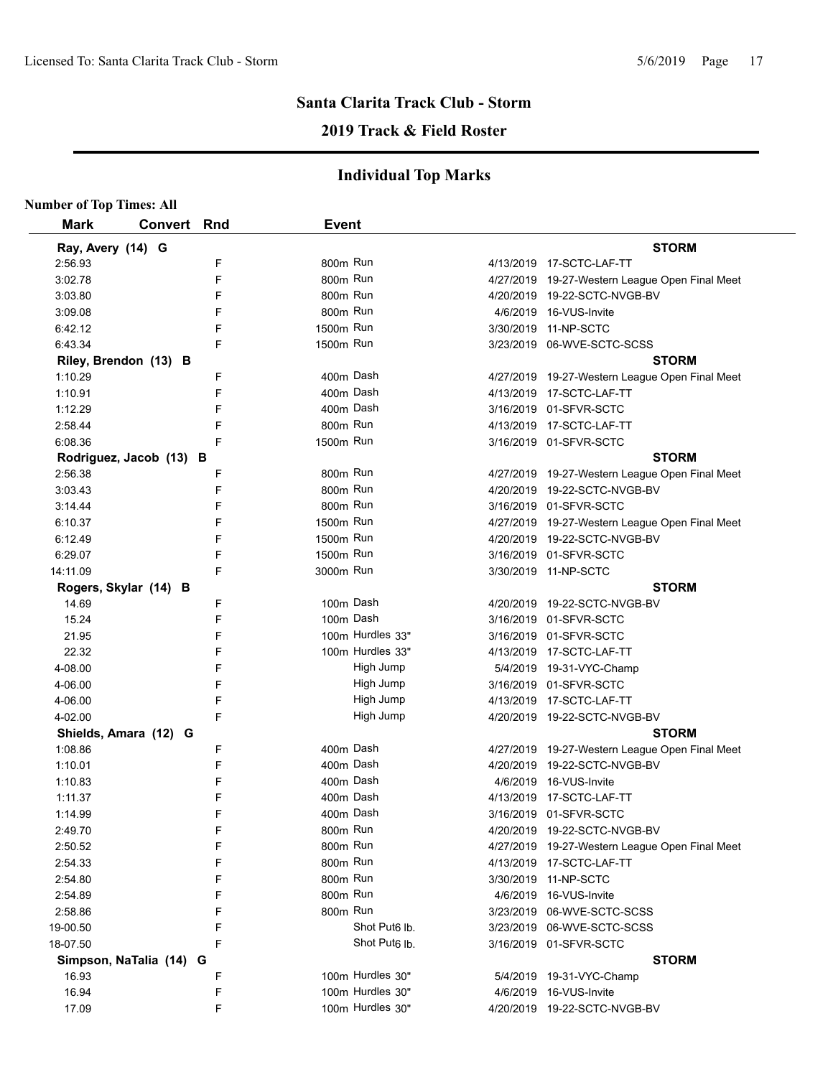## **2019 Track & Field Roster**

| <b>Number of Top Times: All</b> |                         |   |              |                           |                                                |
|---------------------------------|-------------------------|---|--------------|---------------------------|------------------------------------------------|
| <b>Mark</b>                     | <b>Convert Rnd</b>      |   | <b>Event</b> |                           |                                                |
| Ray, Avery (14) G               |                         |   |              |                           | <b>STORM</b>                                   |
| 2:56.93                         |                         | F | 800m Run     |                           | 4/13/2019 17-SCTC-LAF-TT                       |
| 3:02.78                         |                         | F | 800m Run     |                           | 4/27/2019 19-27-Western League Open Final Meet |
| 3:03.80                         |                         | F | 800m Run     |                           | 4/20/2019  19-22-SCTC-NVGB-BV                  |
| 3:09.08                         |                         | F | 800m Run     |                           | 4/6/2019 16-VUS-Invite                         |
| 6:42.12                         |                         | F | 1500m Run    |                           | 3/30/2019 11-NP-SCTC                           |
| 6:43.34                         |                         | F | 1500m Run    |                           | 3/23/2019 06-WVE-SCTC-SCSS                     |
|                                 | Riley, Brendon (13) B   |   |              |                           | <b>STORM</b>                                   |
| 1:10.29                         |                         | F |              | 400m Dash                 | 4/27/2019 19-27-Western League Open Final Meet |
| 1:10.91                         |                         | F |              | 400m Dash                 | 4/13/2019 17-SCTC-LAF-TT                       |
| 1:12.29                         |                         | F |              | 400m Dash                 | 3/16/2019 01-SFVR-SCTC                         |
| 2:58.44                         |                         | F | 800m Run     |                           | 4/13/2019 17-SCTC-LAF-TT                       |
| 6:08.36                         |                         | F | 1500m Run    |                           | 3/16/2019 01-SFVR-SCTC                         |
|                                 | Rodriguez, Jacob (13) B |   |              |                           | <b>STORM</b>                                   |
| 2:56.38                         |                         | F | 800m Run     |                           | 4/27/2019 19-27-Western League Open Final Meet |
| 3:03.43                         |                         | F | 800m Run     |                           | 4/20/2019  19-22-SCTC-NVGB-BV                  |
| 3:14.44                         |                         | F | 800m Run     |                           | 3/16/2019 01-SFVR-SCTC                         |
| 6:10.37                         |                         | F | 1500m Run    |                           | 4/27/2019 19-27-Western League Open Final Meet |
| 6:12.49                         |                         | F | 1500m Run    |                           | 4/20/2019 19-22-SCTC-NVGB-BV                   |
| 6:29.07                         |                         | F | 1500m Run    |                           | 3/16/2019 01-SFVR-SCTC                         |
| 14:11.09                        |                         | F | 3000m Run    |                           | 3/30/2019 11-NP-SCTC                           |
|                                 | Rogers, Skylar (14) B   |   |              |                           | <b>STORM</b>                                   |
| 14.69                           |                         | F |              | 100m Dash                 | 4/20/2019 19-22-SCTC-NVGB-BV                   |
| 15.24                           |                         | F |              | 100m Dash                 | 3/16/2019 01-SFVR-SCTC                         |
| 21.95                           |                         | F |              | 100m Hurdles 33"          | 3/16/2019 01-SFVR-SCTC                         |
| 22.32                           |                         | F |              | 100m Hurdles 33"          | 4/13/2019 17-SCTC-LAF-TT                       |
| 4-08.00                         |                         | F |              | High Jump                 | 5/4/2019 19-31-VYC-Champ                       |
| 4-06.00                         |                         | F |              | High Jump                 | 3/16/2019 01-SFVR-SCTC                         |
| 4-06.00                         |                         | F |              | High Jump                 | 4/13/2019 17-SCTC-LAF-TT                       |
| 4-02.00                         |                         | F |              | High Jump                 | 4/20/2019 19-22-SCTC-NVGB-BV                   |
|                                 | Shields, Amara (12) G   |   |              |                           | <b>STORM</b>                                   |
| 1:08.86                         |                         | F |              | 400m Dash                 | 4/27/2019 19-27-Western League Open Final Meet |
| 1:10.01                         |                         | F |              | 400m Dash                 | 4/20/2019 19-22-SCTC-NVGB-BV                   |
| 1:10.83                         |                         | F |              | 400m Dash                 | 4/6/2019 16-VUS-Invite                         |
| 1:11.37                         |                         | F |              | 400m Dash                 |                                                |
| 1:14.99                         |                         | F |              | 400m Dash                 | 3/16/2019 01-SFVR-SCTC                         |
| 2:49.70                         |                         | F | 800m Run     |                           | 4/20/2019  19-22-SCTC-NVGB-BV                  |
| 2:50.52                         |                         | F | 800m Run     |                           | 4/27/2019 19-27-Western League Open Final Meet |
| 2:54.33                         |                         | F | 800m Run     |                           | 4/13/2019 17-SCTC-LAF-TT                       |
| 2:54.80                         |                         | F | 800m Run     |                           | 3/30/2019 11-NP-SCTC                           |
| 2:54.89                         |                         | F | 800m Run     |                           | 4/6/2019 16-VUS-Invite                         |
| 2:58.86                         |                         | F | 800m Run     |                           | 3/23/2019 06-WVE-SCTC-SCSS                     |
|                                 |                         | F |              | Shot Put <sub>6</sub> lb. | 3/23/2019 06-WVE-SCTC-SCSS                     |
| 19-00.50                        |                         | F |              | Shot Put <sub>6</sub> lb. |                                                |
| 18-07.50                        |                         |   |              |                           | 3/16/2019 01-SFVR-SCTC                         |
|                                 | Simpson, NaTalia (14) G |   |              | 100m Hurdles 30"          | <b>STORM</b>                                   |
| 16.93                           |                         | F |              | 100m Hurdles 30"          | 5/4/2019 19-31-VYC-Champ                       |
| 16.94                           |                         | F |              |                           | 4/6/2019 16-VUS-Invite                         |
| 17.09                           |                         | F |              | 100m Hurdles 30"          | 4/20/2019 19-22-SCTC-NVGB-BV                   |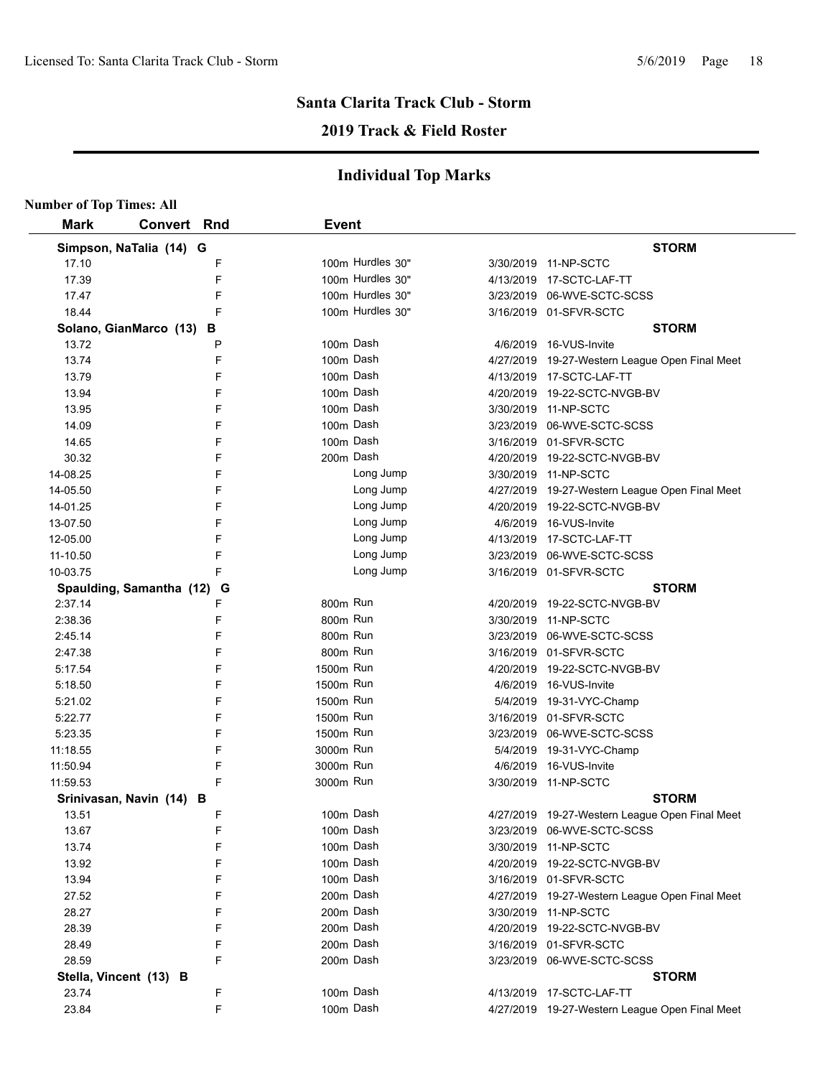## **2019 Track & Field Roster**

| <b>Number of Top Times: All</b> |                          |   |              |                  |                                                |
|---------------------------------|--------------------------|---|--------------|------------------|------------------------------------------------|
| <b>Mark</b>                     | <b>Convert Rnd</b>       |   | <b>Event</b> |                  |                                                |
|                                 | Simpson, NaTalia (14) G  |   |              |                  | <b>STORM</b>                                   |
| 17.10                           |                          | F |              | 100m Hurdles 30" | 3/30/2019 11-NP-SCTC                           |
| 17.39                           |                          | F |              | 100m Hurdles 30" | 4/13/2019 17-SCTC-LAF-TT                       |
| 17.47                           |                          | F |              | 100m Hurdles 30" | 3/23/2019 06-WVE-SCTC-SCSS                     |
| 18.44                           |                          | F |              | 100m Hurdles 30" | 3/16/2019 01-SFVR-SCTC                         |
|                                 | Solano, GianMarco (13)   | в |              |                  | <b>STORM</b>                                   |
| 13.72                           |                          | Р |              | 100m Dash        | 4/6/2019 16-VUS-Invite                         |
| 13.74                           |                          | F |              | 100m Dash        | 4/27/2019 19-27-Western League Open Final Meet |
| 13.79                           |                          | F |              | 100m Dash        | 4/13/2019 17-SCTC-LAF-TT                       |
| 13.94                           |                          | F |              | 100m Dash        | 4/20/2019 19-22-SCTC-NVGB-BV                   |
| 13.95                           |                          | F |              | 100m Dash        | 3/30/2019 11-NP-SCTC                           |
| 14.09                           |                          | F |              | 100m Dash        | 3/23/2019 06-WVE-SCTC-SCSS                     |
| 14.65                           |                          | F |              | 100m Dash        | 3/16/2019 01-SFVR-SCTC                         |
| 30.32                           |                          | F |              | 200m Dash        | 4/20/2019 19-22-SCTC-NVGB-BV                   |
| 14-08.25                        |                          | F |              | Long Jump        | 3/30/2019 11-NP-SCTC                           |
| 14-05.50                        |                          | F |              | Long Jump        | 4/27/2019 19-27-Western League Open Final Meet |
| 14-01.25                        |                          | F |              | Long Jump        | 4/20/2019 19-22-SCTC-NVGB-BV                   |
| 13-07.50                        |                          | F |              | Long Jump        | 4/6/2019 16-VUS-Invite                         |
| 12-05.00                        |                          | F |              | Long Jump        | 4/13/2019 17-SCTC-LAF-TT                       |
| 11-10.50                        |                          | F |              | Long Jump        | 3/23/2019 06-WVE-SCTC-SCSS                     |
| 10-03.75                        |                          | F |              | Long Jump        | 3/16/2019 01-SFVR-SCTC                         |
|                                 | Spaulding, Samantha (12) | G |              |                  | <b>STORM</b>                                   |
| 2:37.14                         |                          | F | 800m Run     |                  | 4/20/2019 19-22-SCTC-NVGB-BV                   |
| 2:38.36                         |                          | F | 800m Run     |                  | 3/30/2019 11-NP-SCTC                           |
| 2:45.14                         |                          | F | 800m Run     |                  | 3/23/2019 06-WVE-SCTC-SCSS                     |
| 2:47.38                         |                          | F | 800m Run     |                  | 3/16/2019 01-SFVR-SCTC                         |
| 5:17.54                         |                          | F | 1500m Run    |                  | 4/20/2019 19-22-SCTC-NVGB-BV                   |
| 5:18.50                         |                          | F | 1500m Run    |                  | 4/6/2019 16-VUS-Invite                         |
| 5:21.02                         |                          | F | 1500m Run    |                  | 5/4/2019 19-31-VYC-Champ                       |
| 5:22.77                         |                          | F | 1500m Run    |                  | 3/16/2019 01-SFVR-SCTC                         |
| 5:23.35                         |                          | F | 1500m Run    |                  | 3/23/2019 06-WVE-SCTC-SCSS                     |
| 11:18.55                        |                          | F | 3000m Run    |                  | 5/4/2019 19-31-VYC-Champ                       |
| 11:50.94                        |                          | F | 3000m Run    |                  | 4/6/2019 16-VUS-Invite                         |
| 11:59.53                        |                          | F | 3000m Run    |                  | 3/30/2019 11-NP-SCTC                           |
|                                 | Srinivasan, Navin (14) B |   |              |                  | <b>STORM</b>                                   |
| 13.51                           |                          | F |              | 100m Dash        | 4/27/2019 19-27-Western League Open Final Meet |
| 13.67                           |                          | F |              | 100m Dash        | 3/23/2019 06-WVE-SCTC-SCSS                     |
| 13.74                           |                          | F |              | 100m Dash        | 3/30/2019 11-NP-SCTC                           |
| 13.92                           |                          | F |              | 100m Dash        | 4/20/2019 19-22-SCTC-NVGB-BV                   |
| 13.94                           |                          | F |              | 100m Dash        | 3/16/2019 01-SFVR-SCTC                         |
| 27.52                           |                          | F |              | 200m Dash        | 4/27/2019 19-27-Western League Open Final Meet |
| 28.27                           |                          | F |              | 200m Dash        | 3/30/2019 11-NP-SCTC                           |
| 28.39                           |                          | F |              | 200m Dash        | 4/20/2019 19-22-SCTC-NVGB-BV                   |
| 28.49                           |                          | F |              | 200m Dash        | 3/16/2019 01-SFVR-SCTC                         |
| 28.59                           |                          | F |              | 200m Dash        | 3/23/2019 06-WVE-SCTC-SCSS                     |
|                                 |                          |   |              |                  |                                                |
| 23.74                           | Stella, Vincent (13) B   | F |              | 100m Dash        | <b>STORM</b><br>4/13/2019 17-SCTC-LAF-TT       |
|                                 |                          | F |              | 100m Dash        |                                                |
| 23.84                           |                          |   |              |                  | 4/27/2019 19-27-Western League Open Final Meet |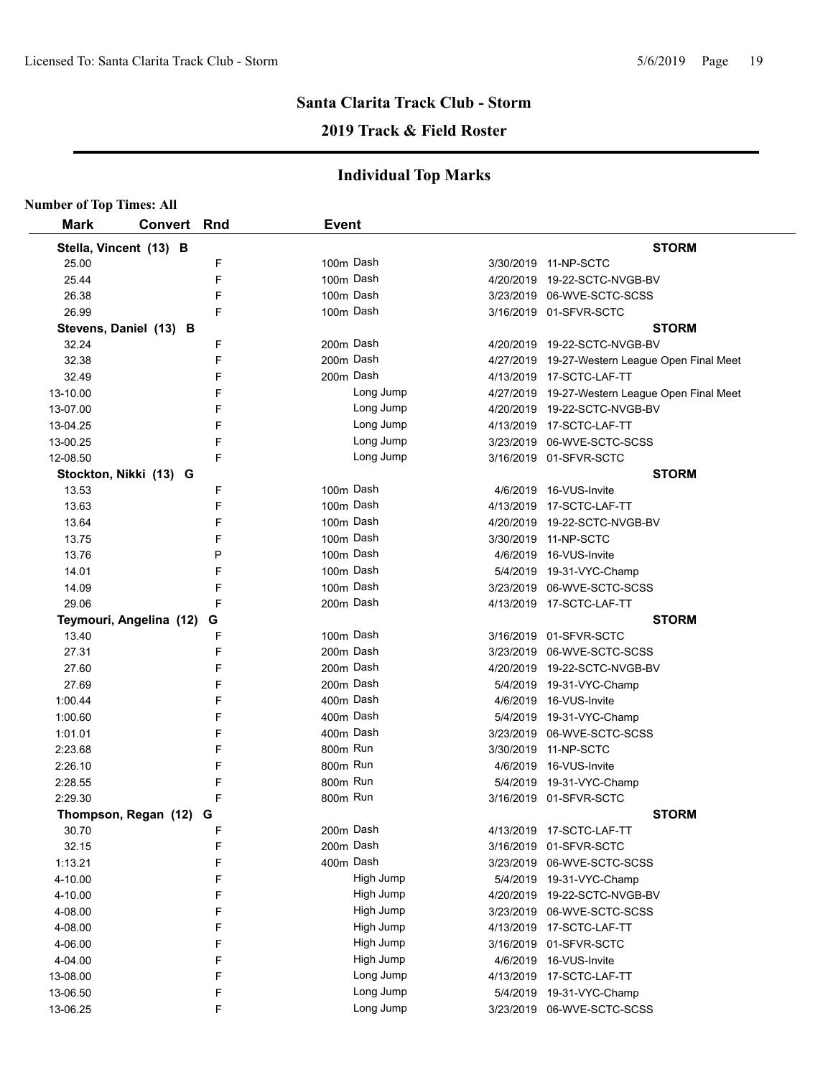## **2019 Track & Field Roster**

|             | <b>Number of Top Times: All</b> |   |              |           |                                                |  |  |  |  |  |
|-------------|---------------------------------|---|--------------|-----------|------------------------------------------------|--|--|--|--|--|
| <b>Mark</b> | <b>Convert Rnd</b>              |   | <b>Event</b> |           |                                                |  |  |  |  |  |
|             | Stella, Vincent (13) B          |   |              |           | <b>STORM</b>                                   |  |  |  |  |  |
| 25.00       |                                 | F | 100m Dash    |           | 3/30/2019 11-NP-SCTC                           |  |  |  |  |  |
| 25.44       |                                 | F | 100m Dash    |           | 4/20/2019 19-22-SCTC-NVGB-BV                   |  |  |  |  |  |
| 26.38       |                                 | F | 100m Dash    |           | 3/23/2019 06-WVE-SCTC-SCSS                     |  |  |  |  |  |
| 26.99       |                                 | F | 100m Dash    |           | 3/16/2019 01-SFVR-SCTC                         |  |  |  |  |  |
|             | Stevens, Daniel (13) B          |   |              |           | <b>STORM</b>                                   |  |  |  |  |  |
| 32.24       |                                 | F | 200m Dash    |           | 4/20/2019 19-22-SCTC-NVGB-BV                   |  |  |  |  |  |
| 32.38       |                                 | F | 200m Dash    |           | 4/27/2019 19-27-Western League Open Final Meet |  |  |  |  |  |
| 32.49       |                                 | F | 200m Dash    |           | 4/13/2019 17-SCTC-LAF-TT                       |  |  |  |  |  |
| 13-10.00    |                                 | F | Long Jump    |           | 4/27/2019 19-27-Western League Open Final Meet |  |  |  |  |  |
| 13-07.00    |                                 | F | Long Jump    |           | 4/20/2019 19-22-SCTC-NVGB-BV                   |  |  |  |  |  |
| 13-04.25    |                                 | F | Long Jump    |           | 4/13/2019 17-SCTC-LAF-TT                       |  |  |  |  |  |
| 13-00.25    |                                 | F | Long Jump    |           | 3/23/2019 06-WVE-SCTC-SCSS                     |  |  |  |  |  |
| 12-08.50    |                                 | F | Long Jump    |           | 3/16/2019 01-SFVR-SCTC                         |  |  |  |  |  |
|             | Stockton, Nikki (13) G          |   |              |           | <b>STORM</b>                                   |  |  |  |  |  |
| 13.53       |                                 | F | 100m Dash    |           | 4/6/2019 16-VUS-Invite                         |  |  |  |  |  |
| 13.63       |                                 | F | 100m Dash    |           | 4/13/2019 17-SCTC-LAF-TT                       |  |  |  |  |  |
| 13.64       |                                 | F | 100m Dash    |           | 4/20/2019 19-22-SCTC-NVGB-BV                   |  |  |  |  |  |
| 13.75       |                                 | F | 100m Dash    |           | 3/30/2019 11-NP-SCTC                           |  |  |  |  |  |
| 13.76       |                                 | P | 100m Dash    |           | 4/6/2019 16-VUS-Invite                         |  |  |  |  |  |
| 14.01       |                                 | F | 100m Dash    |           | 5/4/2019 19-31-VYC-Champ                       |  |  |  |  |  |
| 14.09       |                                 | F | 100m Dash    |           | 3/23/2019 06-WVE-SCTC-SCSS                     |  |  |  |  |  |
| 29.06       |                                 | F | 200m Dash    |           | 4/13/2019 17-SCTC-LAF-TT                       |  |  |  |  |  |
|             | Teymouri, Angelina (12)         | G |              |           | <b>STORM</b>                                   |  |  |  |  |  |
| 13.40       |                                 | F | 100m Dash    |           | 3/16/2019 01-SFVR-SCTC                         |  |  |  |  |  |
| 27.31       |                                 | F | 200m Dash    |           | 3/23/2019 06-WVE-SCTC-SCSS                     |  |  |  |  |  |
| 27.60       |                                 | F | 200m Dash    |           | 4/20/2019 19-22-SCTC-NVGB-BV                   |  |  |  |  |  |
| 27.69       |                                 | F | 200m Dash    |           | 5/4/2019 19-31-VYC-Champ                       |  |  |  |  |  |
| 1:00.44     |                                 | F | 400m Dash    |           | 4/6/2019 16-VUS-Invite                         |  |  |  |  |  |
| 1:00.60     |                                 | F | 400m Dash    |           | 5/4/2019 19-31-VYC-Champ                       |  |  |  |  |  |
| 1:01.01     |                                 | F | 400m Dash    |           | 3/23/2019 06-WVE-SCTC-SCSS                     |  |  |  |  |  |
| 2:23.68     |                                 | F | 800m Run     |           | 3/30/2019 11-NP-SCTC                           |  |  |  |  |  |
| 2:26.10     |                                 | F | 800m Run     |           | 4/6/2019 16-VUS-Invite                         |  |  |  |  |  |
| 2:28.55     |                                 | F | 800m Run     |           | 5/4/2019 19-31-VYC-Champ                       |  |  |  |  |  |
| 2:29.30     |                                 | F | 800m Run     |           | 3/16/2019 01-SFVR-SCTC                         |  |  |  |  |  |
|             | Thompson, Regan (12) G          |   |              |           | <b>STORM</b>                                   |  |  |  |  |  |
| 30.70       |                                 | F | 200m Dash    |           | 4/13/2019 17-SCTC-LAF-TT                       |  |  |  |  |  |
| 32.15       |                                 | F | 200m Dash    |           | 3/16/2019 01-SFVR-SCTC                         |  |  |  |  |  |
| 1:13.21     |                                 | F | 400m Dash    | 3/23/2019 | 06-WVE-SCTC-SCSS                               |  |  |  |  |  |
| 4-10.00     |                                 | F | High Jump    |           | 5/4/2019 19-31-VYC-Champ                       |  |  |  |  |  |
| 4-10.00     |                                 | F | High Jump    |           | 4/20/2019 19-22-SCTC-NVGB-BV                   |  |  |  |  |  |
| 4-08.00     |                                 | F | High Jump    | 3/23/2019 | 06-WVE-SCTC-SCSS                               |  |  |  |  |  |
| 4-08.00     |                                 | F | High Jump    |           | 4/13/2019 17-SCTC-LAF-TT                       |  |  |  |  |  |
| 4-06.00     |                                 | F | High Jump    | 3/16/2019 | 01-SFVR-SCTC                                   |  |  |  |  |  |
| 4-04.00     |                                 | F | High Jump    |           | 4/6/2019 16-VUS-Invite                         |  |  |  |  |  |
| 13-08.00    |                                 | F | Long Jump    |           | 4/13/2019 17-SCTC-LAF-TT                       |  |  |  |  |  |
| 13-06.50    |                                 | F | Long Jump    |           | 5/4/2019 19-31-VYC-Champ                       |  |  |  |  |  |
| 13-06.25    |                                 | F | Long Jump    |           | 3/23/2019 06-WVE-SCTC-SCSS                     |  |  |  |  |  |
|             |                                 |   |              |           |                                                |  |  |  |  |  |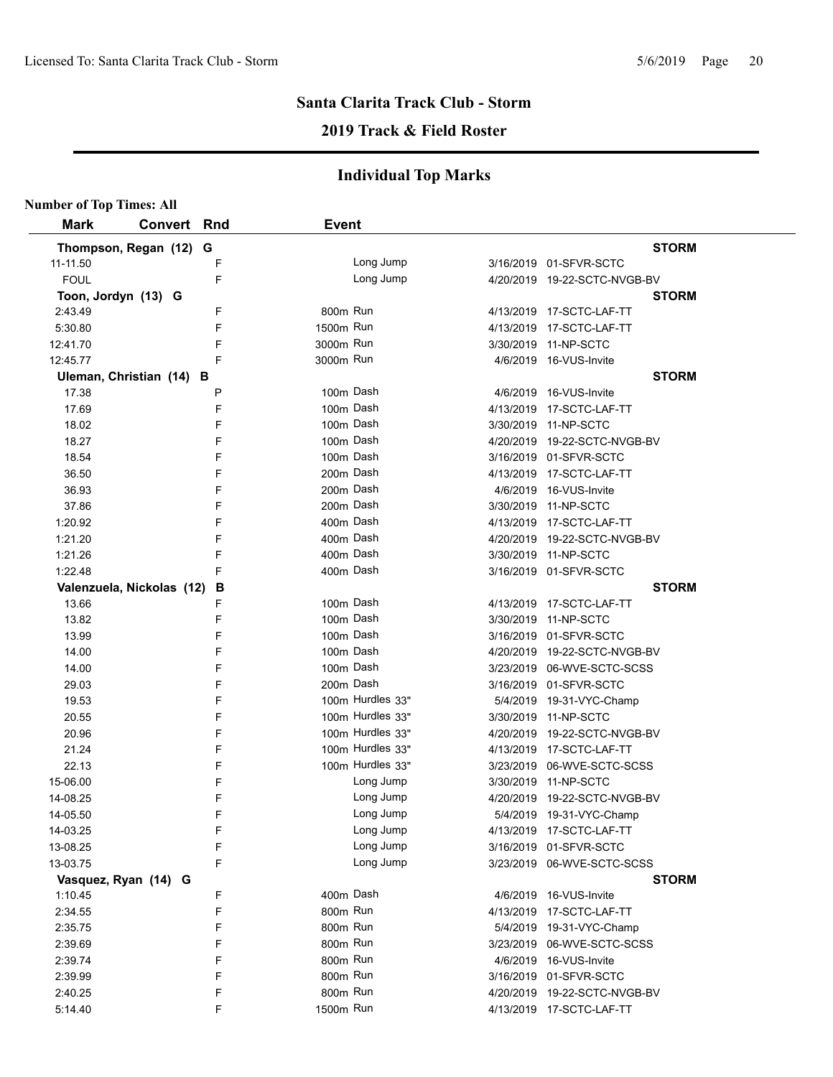### **2019 Track & Field Roster**

| <b>Number of Top Times: All</b> |                           |   |              |                  |                              |
|---------------------------------|---------------------------|---|--------------|------------------|------------------------------|
| <b>Mark</b>                     | Convert Rnd               |   | <b>Event</b> |                  |                              |
|                                 | Thompson, Regan (12) G    |   |              |                  | <b>STORM</b>                 |
| 11-11.50                        |                           | F |              | Long Jump        | 3/16/2019 01-SFVR-SCTC       |
| <b>FOUL</b>                     |                           | F |              | Long Jump        | 4/20/2019 19-22-SCTC-NVGB-BV |
| Toon, Jordyn (13) G             |                           |   |              |                  | <b>STORM</b>                 |
| 2:43.49                         |                           | F | 800m Run     |                  | 4/13/2019 17-SCTC-LAF-TT     |
| 5:30.80                         |                           | F | 1500m Run    |                  | 4/13/2019 17-SCTC-LAF-TT     |
| 12:41.70                        |                           | F | 3000m Run    |                  | 3/30/2019 11-NP-SCTC         |
| 12:45.77                        |                           | F | 3000m Run    |                  | 4/6/2019 16-VUS-Invite       |
|                                 | Uleman, Christian (14) B  |   |              |                  | <b>STORM</b>                 |
| 17.38                           |                           | P | 100m Dash    |                  | 4/6/2019 16-VUS-Invite       |
| 17.69                           |                           | F | 100m Dash    |                  | 4/13/2019 17-SCTC-LAF-TT     |
| 18.02                           |                           | F | 100m Dash    |                  | 3/30/2019 11-NP-SCTC         |
| 18.27                           |                           | F | 100m Dash    |                  | 4/20/2019 19-22-SCTC-NVGB-BV |
| 18.54                           |                           | F | 100m Dash    |                  | 3/16/2019 01-SFVR-SCTC       |
| 36.50                           |                           | F | 200m Dash    |                  | 4/13/2019 17-SCTC-LAF-TT     |
| 36.93                           |                           | F | 200m Dash    |                  | 4/6/2019 16-VUS-Invite       |
| 37.86                           |                           | F | 200m Dash    |                  | 3/30/2019 11-NP-SCTC         |
| 1:20.92                         |                           | F | 400m Dash    |                  | 4/13/2019 17-SCTC-LAF-TT     |
| 1:21.20                         |                           | F | 400m Dash    |                  | 4/20/2019 19-22-SCTC-NVGB-BV |
| 1.21.26                         |                           | F | 400m Dash    |                  | 3/30/2019 11-NP-SCTC         |
| 1:22.48                         |                           | F | 400m Dash    |                  | 3/16/2019 01-SFVR-SCTC       |
|                                 | Valenzuela, Nickolas (12) | B |              |                  | <b>STORM</b>                 |
| 13.66                           |                           | F | 100m Dash    |                  | 4/13/2019 17-SCTC-LAF-TT     |
| 13.82                           |                           | F | 100m Dash    |                  | 3/30/2019 11-NP-SCTC         |
| 13.99                           |                           | F | 100m Dash    |                  | 3/16/2019 01-SFVR-SCTC       |
| 14.00                           |                           | F | 100m Dash    |                  | 4/20/2019 19-22-SCTC-NVGB-BV |
| 14.00                           |                           | F | 100m Dash    |                  | 3/23/2019 06-WVE-SCTC-SCSS   |
| 29.03                           |                           | F | 200m Dash    |                  | 3/16/2019 01-SFVR-SCTC       |
| 19.53                           |                           | F |              | 100m Hurdles 33" | 5/4/2019 19-31-VYC-Champ     |
| 20.55                           |                           | F |              | 100m Hurdles 33" | 3/30/2019 11-NP-SCTC         |
| 20.96                           |                           | F |              | 100m Hurdles 33" | 4/20/2019 19-22-SCTC-NVGB-BV |
| 21.24                           |                           | F |              | 100m Hurdles 33" | 4/13/2019 17-SCTC-LAF-TT     |
| 22.13                           |                           | F |              | 100m Hurdles 33" | 3/23/2019 06-WVE-SCTC-SCSS   |
| 15-06.00                        |                           | F |              | Long Jump        | 3/30/2019 11-NP-SCTC         |
| 14-08.25                        |                           | F |              | Long Jump        | 4/20/2019 19-22-SCTC-NVGB-BV |
| 14-05.50                        |                           | F |              | Long Jump        | 5/4/2019 19-31-VYC-Champ     |
| 14-03.25                        |                           | F |              | Long Jump        | 4/13/2019 17-SCTC-LAF-TT     |
| 13-08.25                        |                           | F |              | Long Jump        | 3/16/2019 01-SFVR-SCTC       |
| 13-03.75                        |                           | F |              | Long Jump        | 3/23/2019 06-WVE-SCTC-SCSS   |
|                                 | Vasquez, Ryan (14) G      |   |              |                  | <b>STORM</b>                 |
| 1:10.45                         |                           | F | 400m Dash    |                  | 4/6/2019 16-VUS-Invite       |
| 2:34.55                         |                           | F | 800m Run     |                  | 4/13/2019 17-SCTC-LAF-TT     |
| 2:35.75                         |                           | F | 800m Run     |                  | 5/4/2019 19-31-VYC-Champ     |
| 2:39.69                         |                           | F | 800m Run     |                  | 3/23/2019 06-WVE-SCTC-SCSS   |
| 2:39.74                         |                           | F | 800m Run     |                  | 4/6/2019 16-VUS-Invite       |
| 2:39.99                         |                           | F | 800m Run     |                  | 3/16/2019 01-SFVR-SCTC       |
| 2:40.25                         |                           | F | 800m Run     |                  | 4/20/2019 19-22-SCTC-NVGB-BV |
| 5:14.40                         |                           | F | 1500m Run    |                  | 4/13/2019 17-SCTC-LAF-TT     |
|                                 |                           |   |              |                  |                              |